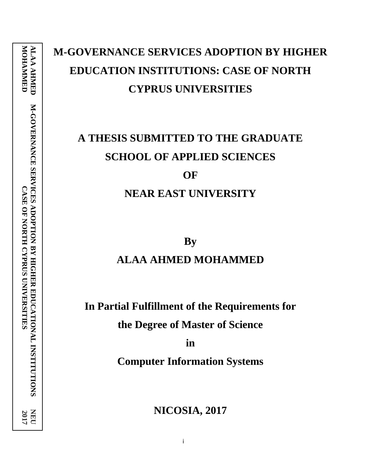# **M-GOVERNANCE SERVICES ADOPTION BY HIGHER EDUCATION INSTITUTIONS: CASE OF NORTH CYPRUS UNIVERSITIES**

# **A THESIS SUBMITTED TO THE GRADUATE SCHOOL OF APPLIED SCIENCES OF**

# **NEAR EAST UNIVERSITY**

**By ALAA AHMED MOHAMMED**

**In Partial Fulfillment of the Requirements for** 

**the Degree of Master of Science**

**in**

**Computer Information Systems**

**NICOSIA, 2017**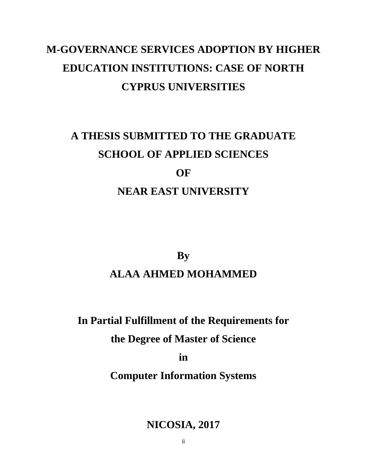# **M-GOVERNANCE SERVICES ADOPTION BY HIGHER EDUCATION INSTITUTIONS: CASE OF NORTH CYPRUS UNIVERSITIES**

# **A THESIS SUBMITTED TO THE GRADUATE SCHOOL OF APPLIED SCIENCES OF**

# **NEAR EAST UNIVERSITY**

**By**

# **ALAA AHMED MOHAMMED**

# **In Partial Fulfillment of the Requirements for**

# **the Degree of Master of Science**

**in**

# **Computer Information Systems**

# **NICOSIA, 2017**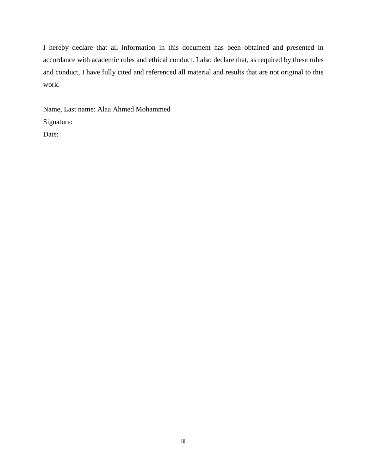I hereby declare that all information in this document has been obtained and presented in accordance with academic rules and ethical conduct. I also declare that, as required by these rules and conduct, I have fully cited and referenced all material and results that are not original to this work.

Name, Last name: Alaa Ahmed Mohammed Signature:

Date: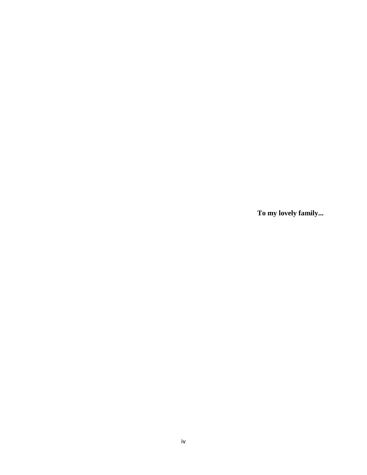**To my lovely family...**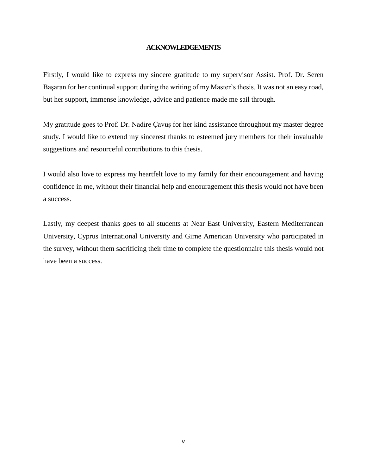#### **ACKNOWLEDGEMENTS**

<span id="page-4-0"></span>Firstly, I would like to express my sincere gratitude to my supervisor Assist. Prof. Dr. Seren Başaran for her continual support during the writing of my Master's thesis. It was not an easy road, but her support, immense knowledge, advice and patience made me sail through.

My gratitude goes to Prof. Dr. Nadire Çavuş for her kind assistance throughout my master degree study. I would like to extend my sincerest thanks to esteemed jury members for their invaluable suggestions and resourceful contributions to this thesis.

I would also love to express my heartfelt love to my family for their encouragement and having confidence in me, without their financial help and encouragement this thesis would not have been a success.

Lastly, my deepest thanks goes to all students at Near East University, Eastern Mediterranean University, Cyprus International University and Girne American University who participated in the survey, without them sacrificing their time to complete the questionnaire this thesis would not have been a success.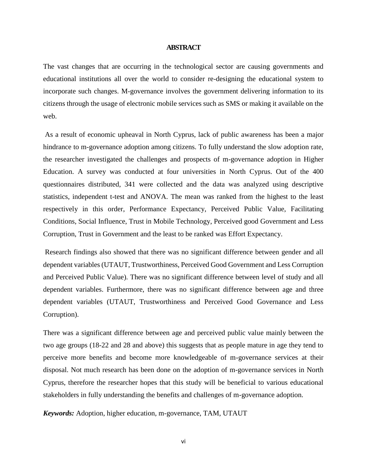#### **ABSTRACT**

<span id="page-5-0"></span>The vast changes that are occurring in the technological sector are causing governments and educational institutions all over the world to consider re-designing the educational system to incorporate such changes. M-governance involves the government delivering information to its citizens through the usage of electronic mobile services such as SMS or making it available on the web.

As a result of economic upheaval in North Cyprus, lack of public awareness has been a major hindrance to m-governance adoption among citizens. To fully understand the slow adoption rate, the researcher investigated the challenges and prospects of m-governance adoption in Higher Education. A survey was conducted at four universities in North Cyprus. Out of the 400 questionnaires distributed, 341 were collected and the data was analyzed using descriptive statistics, independent t-test and ANOVA. The mean was ranked from the highest to the least respectively in this order, Performance Expectancy, Perceived Public Value, Facilitating Conditions, Social Influence, Trust in Mobile Technology, Perceived good Government and Less Corruption, Trust in Government and the least to be ranked was Effort Expectancy.

Research findings also showed that there was no significant difference between gender and all dependent variables (UTAUT, Trustworthiness, Perceived Good Government and Less Corruption and Perceived Public Value). There was no significant difference between level of study and all dependent variables. Furthermore, there was no significant difference between age and three dependent variables (UTAUT, Trustworthiness and Perceived Good Governance and Less Corruption).

There was a significant difference between age and perceived public value mainly between the two age groups (18-22 and 28 and above) this suggests that as people mature in age they tend to perceive more benefits and become more knowledgeable of m-governance services at their disposal. Not much research has been done on the adoption of m-governance services in North Cyprus, therefore the researcher hopes that this study will be beneficial to various educational stakeholders in fully understanding the benefits and challenges of m-governance adoption.

*Keywords:* Adoption, higher education, m-governance, TAM, UTAUT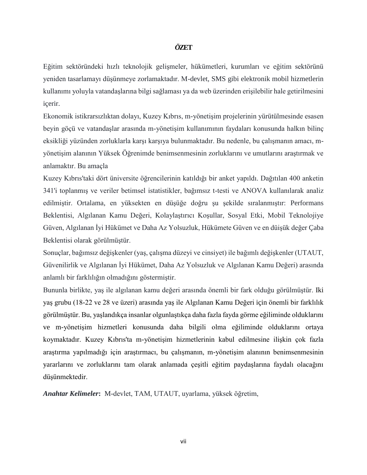#### *Ö***ZET**

Eğitim sektöründeki hızlı teknolojik gelişmeler, hükümetleri, kurumları ve eğitim sektörünü yeniden tasarlamayı düşünmeye zorlamaktadır. M-devlet, SMS gibi elektronik mobil hizmetlerin kullanımı yoluyla vatandaşlarına bilgi sağlaması ya da web üzerinden erişilebilir hale getirilmesini içerir.

Ekonomik istikrarsızlıktan dolayı, Kuzey Kıbrıs, m-yönetişim projelerinin yürütülmesinde esasen beyin göçü ve vatandaşlar arasında m-yönetişim kullanımının faydaları konusunda halkın bilinç eksikliği yüzünden zorluklarla karşı karşıya bulunmaktadır. Bu nedenle, bu çalışmanın amacı, myönetişim alanının Yüksek Öğrenimde benimsenmesinin zorluklarını ve umutlarını araştırmak ve anlamaktır. Bu amaçla

Kuzey Kıbrıs'taki dört üniversite öğrencilerinin katıldığı bir anket yapıldı. Dağıtılan 400 anketin 341'i toplanmış ve veriler betimsel istatistikler, bağımsız t-testi ve ANOVA kullanılarak analiz edilmiştir. Ortalama, en yüksekten en düşüğe doğru şu şekilde sıralanmıştır: Performans Beklentisi, Algılanan Kamu Değeri, Kolaylaştırıcı Koşullar, Sosyal Etki, Mobil Teknolojiye Güven, Algılanan İyi Hükümet ve Daha Az Yolsuzluk, Hükümete Güven ve en düişük değer Çaba Beklentisi olarak görülmüştür.

Sonuçlar, bağımsız değişkenler (yaş, çalışma düzeyi ve cinsiyet) ile bağımlı değişkenler (UTAUT, Güvenilirlik ve Algılanan İyi Hükümet, Daha Az Yolsuzluk ve Algılanan Kamu Değeri) arasında anlamlı bir farklılığın olmadığını göstermiştir.

Bununla birlikte, yaş ile algılanan kamu değeri arasında önemli bir fark olduğu görülmüştür. Iki yaş grubu (18-22 ve 28 ve üzeri) arasında yaş ile Algılanan Kamu Değeri için önemli bir farklılık görülmüştür. Bu, yaşlandıkça insanlar olgunlaştıkça daha fazla fayda görme eğiliminde olduklarını ve m-yönetişim hizmetleri konusunda daha bilgili olma eğiliminde olduklarını ortaya koymaktadır. Kuzey Kıbrıs'ta m-yönetişim hizmetlerinin kabul edilmesine ilişkin çok fazla araştırma yapılmadığı için araştırmacı, bu çalışmanın, m-yönetişim alanının benimsenmesinin yararlarını ve zorluklarını tam olarak anlamada çeşitli eğitim paydaşlarına faydalı olacağını düşünmektedir.

*Anahtar Kelimeler***:** M-devlet, TAM, UTAUT, uyarlama, yüksek öğretim,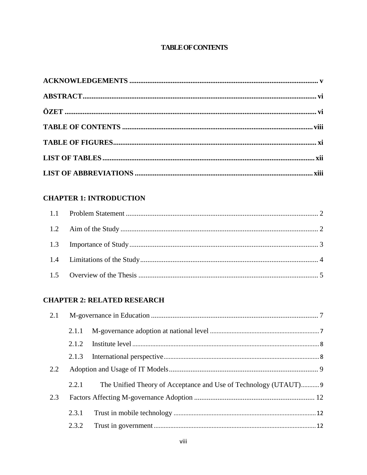# **TABLE OF CONTENTS**

<span id="page-7-0"></span>

# **CHAPTER 1: INTRODUCTION**

## **CHAPTER 2: RELATED RESEARCH**

| 2.1 |       |                                                                  |  |
|-----|-------|------------------------------------------------------------------|--|
|     | 2.1.1 |                                                                  |  |
|     | 2.1.2 |                                                                  |  |
|     |       |                                                                  |  |
| 2.2 |       |                                                                  |  |
|     | 2.2.1 | The Unified Theory of Acceptance and Use of Technology (UTAUT) 9 |  |
| 2.3 |       |                                                                  |  |
|     | 2.3.1 |                                                                  |  |
|     | 2.3.2 |                                                                  |  |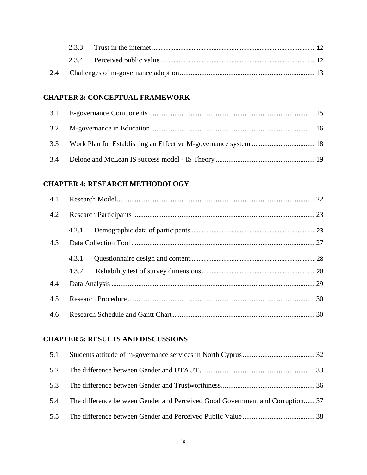### **[CHAPTER 3:](#page-27-0) CONCEPTUAL FRAMEWORK**

# **[CHAPTER 4:](#page-34-0) RESEARCH METHODOLOGY**

| 4.2 |       |  |
|-----|-------|--|
|     | 4.2.1 |  |
| 4.3 |       |  |
|     | 4.3.1 |  |
|     | 4.3.2 |  |
| 4.4 |       |  |
| 4.5 |       |  |
| 4.6 |       |  |

## **[CHAPTER 5:](#page-44-0) RESULTS AND DISCUSSIONS**

| 5.4 The difference between Gender and Perceived Good Government and Corruption 37 |  |
|-----------------------------------------------------------------------------------|--|
|                                                                                   |  |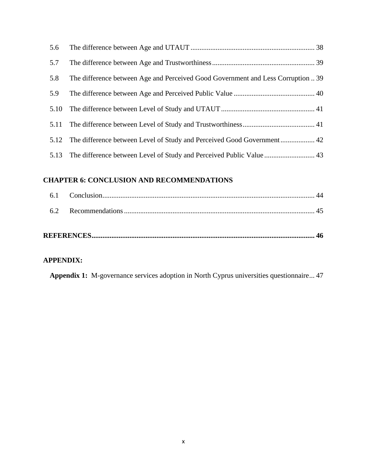| 5.6  |                                                                                  |  |
|------|----------------------------------------------------------------------------------|--|
| 5.7  |                                                                                  |  |
| 5.8  | The difference between Age and Perceived Good Government and Less Corruption  39 |  |
| 5.9  |                                                                                  |  |
| 5.10 |                                                                                  |  |
|      |                                                                                  |  |
|      | 5.12 The difference between Level of Study and Perceived Good Government 42      |  |
|      |                                                                                  |  |

# **[CHAPTER 6:](#page-56-0) CONCLUSION AND RECOMMENDATIONS**

### **[APPENDIX:](#page-59-0)**

**Appendix 1:** [M-governance services adoption in North Cyprus universities questionnaire...](file:///C:/Users/Muriel/Desktop/thesis%20EGOVERNANCE/M-GOVERNANCE/ALA%20FINAL%20THESIS%20M-GOVERNANCE%2019-01-17.docx%23_Toc472662477) 47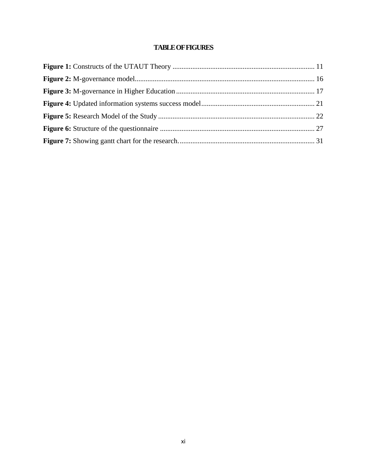## **TABLE OF FIGURES**

<span id="page-10-0"></span>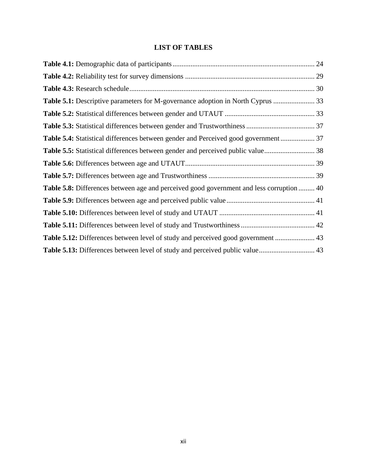# **LIST OF TABLES**

<span id="page-11-0"></span>

| Table 5.4: Statistical differences between gender and Perceived good government 37              |  |
|-------------------------------------------------------------------------------------------------|--|
|                                                                                                 |  |
|                                                                                                 |  |
|                                                                                                 |  |
| <b>Table 5.8:</b> Differences between age and perceived good government and less corruption  40 |  |
|                                                                                                 |  |
|                                                                                                 |  |
|                                                                                                 |  |
|                                                                                                 |  |
| Table 5.13: Differences between level of study and perceived public value 43                    |  |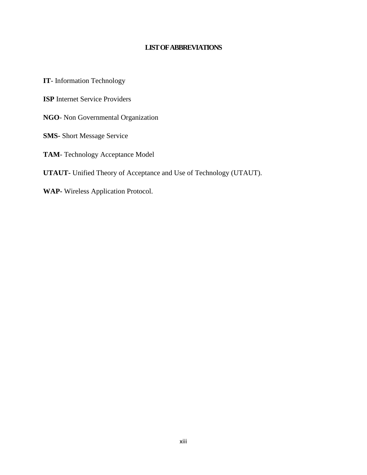#### **LIST OF ABBREVIATIONS**

<span id="page-12-0"></span>**IT**- Information Technology

**ISP** Internet Service Providers

**NGO**- Non Governmental Organization

**SMS-** Short Message Service

**TAM**- Technology Acceptance Model

**UTAUT-** Unified Theory of Acceptance and Use of Technology (UTAUT).

**WAP-** Wireless Application Protocol.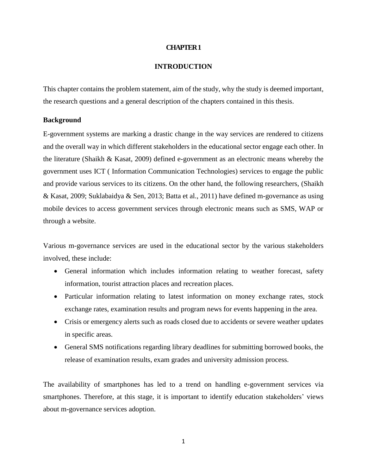#### **CHAPTER 1**

#### **INTRODUCTION**

<span id="page-13-0"></span>This chapter contains the problem statement, aim of the study, why the study is deemed important, the research questions and a general description of the chapters contained in this thesis.

#### **Background**

E-government systems are marking a drastic change in the way services are rendered to citizens and the overall way in which different stakeholders in the educational sector engage each other. In the literature (Shaikh & Kasat, 2009) defined e-government as an electronic means whereby the government uses ICT ( Information Communication Technologies) services to engage the public and provide various services to its citizens. On the other hand, the following researchers, (Shaikh & Kasat, 2009; Suklabaidya & Sen, 2013; Batta et al., 2011) have defined m-governance as using mobile devices to access government services through electronic means such as SMS, WAP or through a website.

Various m-governance services are used in the educational sector by the various stakeholders involved, these include:

- General information which includes information relating to weather forecast, safety information, tourist attraction places and recreation places.
- Particular information relating to latest information on money exchange rates, stock exchange rates, examination results and program news for events happening in the area.
- Crisis or emergency alerts such as roads closed due to accidents or severe weather updates in specific areas.
- General SMS notifications regarding library deadlines for submitting borrowed books, the release of examination results, exam grades and university admission process.

The availability of smartphones has led to a trend on handling e-government services via smartphones. Therefore, at this stage, it is important to identify education stakeholders' views about m-governance services adoption.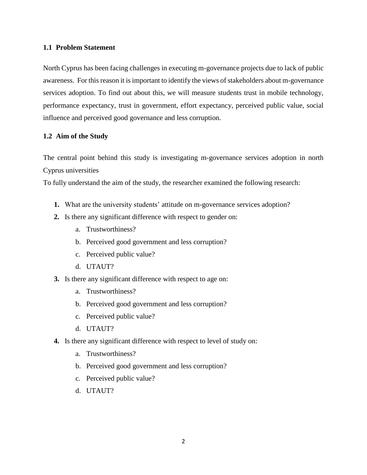#### <span id="page-14-0"></span>**1.1 Problem Statement**

North Cyprus has been facing challenges in executing m-governance projects due to lack of public awareness. For this reason it is important to identify the views of stakeholders about m-governance services adoption. To find out about this, we will measure students trust in mobile technology, performance expectancy, trust in government, effort expectancy, perceived public value, social influence and perceived good governance and less corruption.

#### <span id="page-14-1"></span>**1.2 Aim of the Study**

The central point behind this study is investigating m-governance services adoption in north Cyprus universities

To fully understand the aim of the study, the researcher examined the following research:

- **1.** What are the university students' attitude on m-governance services adoption?
- **2.** Is there any significant difference with respect to gender on:
	- a. Trustworthiness?
	- b. Perceived good government and less corruption?
	- c. Perceived public value?
	- d. UTAUT?
- **3.** Is there any significant difference with respect to age on:
	- a. Trustworthiness?
	- b. Perceived good government and less corruption?
	- c. Perceived public value?
	- d. UTAUT?
- **4.** Is there any significant difference with respect to level of study on:
	- a. Trustworthiness?
	- b. Perceived good government and less corruption?
	- c. Perceived public value?
	- d. UTAUT?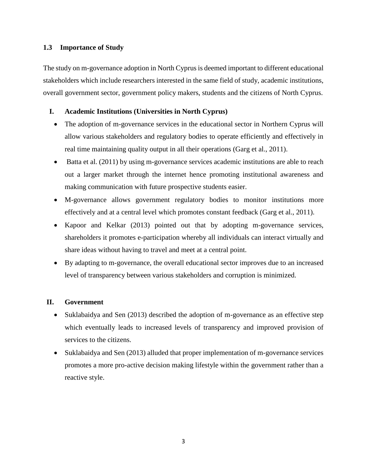#### <span id="page-15-0"></span>**1.3 Importance of Study**

The study on m-governance adoption in North Cyprus is deemed important to different educational stakeholders which include researchers interested in the same field of study, academic institutions, overall government sector, government policy makers, students and the citizens of North Cyprus.

### **I. Academic Institutions (Universities in North Cyprus)**

- The adoption of m-governance services in the educational sector in Northern Cyprus will allow various stakeholders and regulatory bodies to operate efficiently and effectively in real time maintaining quality output in all their operations (Garg et al., 2011).
- Batta et al. (2011) by using m-governance services academic institutions are able to reach out a larger market through the internet hence promoting institutional awareness and making communication with future prospective students easier.
- M-governance allows government regulatory bodies to monitor institutions more effectively and at a central level which promotes constant feedback (Garg et al., 2011).
- Kapoor and Kelkar (2013) pointed out that by adopting m-governance services, shareholders it promotes e-participation whereby all individuals can interact virtually and share ideas without having to travel and meet at a central point.
- By adapting to m-governance, the overall educational sector improves due to an increased level of transparency between various stakeholders and corruption is minimized.

### **II. Government**

- Suklabaidya and Sen (2013) described the adoption of m-governance as an effective step which eventually leads to increased levels of transparency and improved provision of services to the citizens.
- Suklabaidya and Sen (2013) alluded that proper implementation of m-governance services promotes a more pro-active decision making lifestyle within the government rather than a reactive style.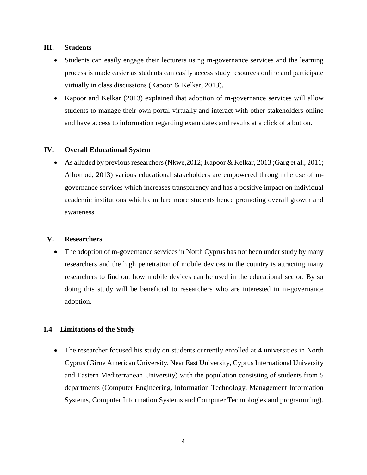#### **III. Students**

- Students can easily engage their lecturers using m-governance services and the learning process is made easier as students can easily access study resources online and participate virtually in class discussions (Kapoor & Kelkar, 2013).
- Kapoor and Kelkar (2013) explained that adoption of m-governance services will allow students to manage their own portal virtually and interact with other stakeholders online and have access to information regarding exam dates and results at a click of a button.

#### **IV. Overall Educational System**

 As alluded by previous researchers (Nkwe,2012; Kapoor & Kelkar, 2013 ;Garg et al., 2011; Alhomod, 2013) various educational stakeholders are empowered through the use of mgovernance services which increases transparency and has a positive impact on individual academic institutions which can lure more students hence promoting overall growth and awareness

#### **V. Researchers**

 The adoption of m-governance services in North Cyprus has not been under study by many researchers and the high penetration of mobile devices in the country is attracting many researchers to find out how mobile devices can be used in the educational sector. By so doing this study will be beneficial to researchers who are interested in m-governance adoption.

### <span id="page-16-0"></span>**1.4 Limitations of the Study**

• The researcher focused his study on students currently enrolled at 4 universities in North Cyprus (Girne American University, Near East University, Cyprus International University and Eastern Mediterranean University) with the population consisting of students from 5 departments (Computer Engineering, Information Technology, Management Information Systems, Computer Information Systems and Computer Technologies and programming).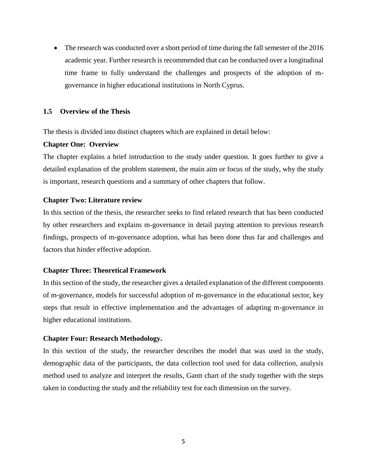• The research was conducted over a short period of time during the fall semester of the 2016 academic year. Further research is recommended that can be conducted over a longitudinal time frame to fully understand the challenges and prospects of the adoption of mgovernance in higher educational institutions in North Cyprus.

#### <span id="page-17-0"></span>**1.5 Overview of the Thesis**

The thesis is divided into distinct chapters which are explained in detail below:

#### **Chapter One: Overview**

The chapter explains a brief introduction to the study under question. It goes further to give a detailed explanation of the problem statement, the main aim or focus of the study, why the study is important, research questions and a summary of other chapters that follow.

#### **Chapter Two: Literature review**

In this section of the thesis, the researcher seeks to find related research that has been conducted by other researchers and explains m-governance in detail paying attention to previous research findings, prospects of m-governance adoption, what has been done thus far and challenges and factors that hinder effective adoption.

#### **Chapter Three: Theoretical Framework**

In this section of the study, the researcher gives a detailed explanation of the different components of m-governance, models for successful adoption of m-governance in the educational sector, key steps that result in effective implementation and the advantages of adapting m-governance in higher educational institutions.

#### **Chapter Four: Research Methodology.**

In this section of the study, the researcher describes the model that was used in the study, demographic data of the participants, the data collection tool used for data collection, analysis method used to analyze and interpret the results, Gantt chart of the study together with the steps taken in conducting the study and the reliability test for each dimension on the survey.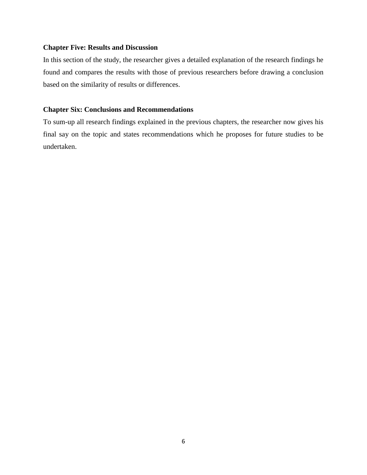#### **Chapter Five: Results and Discussion**

In this section of the study, the researcher gives a detailed explanation of the research findings he found and compares the results with those of previous researchers before drawing a conclusion based on the similarity of results or differences.

#### **Chapter Six: Conclusions and Recommendations**

To sum-up all research findings explained in the previous chapters, the researcher now gives his final say on the topic and states recommendations which he proposes for future studies to be undertaken.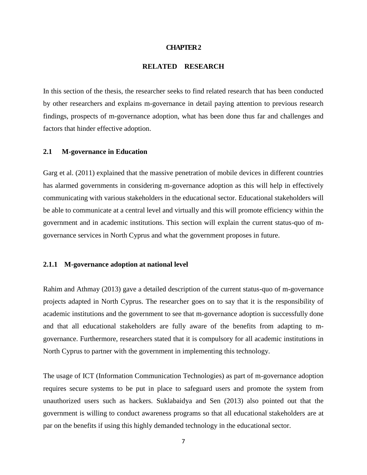#### **CHAPTER 2**

#### **RELATED RESEARCH**

<span id="page-19-0"></span>In this section of the thesis, the researcher seeks to find related research that has been conducted by other researchers and explains m-governance in detail paying attention to previous research findings, prospects of m-governance adoption, what has been done thus far and challenges and factors that hinder effective adoption.

#### <span id="page-19-1"></span>**2.1 M-governance in Education**

Garg et al. (2011) explained that the massive penetration of mobile devices in different countries has alarmed governments in considering m-governance adoption as this will help in effectively communicating with various stakeholders in the educational sector. Educational stakeholders will be able to communicate at a central level and virtually and this will promote efficiency within the government and in academic institutions. This section will explain the current status-quo of mgovernance services in North Cyprus and what the government proposes in future.

#### <span id="page-19-2"></span>**2.1.1 M-governance adoption at national level**

Rahim and Athmay (2013) gave a detailed description of the current status-quo of m-governance projects adapted in North Cyprus. The researcher goes on to say that it is the responsibility of academic institutions and the government to see that m-governance adoption is successfully done and that all educational stakeholders are fully aware of the benefits from adapting to mgovernance. Furthermore, researchers stated that it is compulsory for all academic institutions in North Cyprus to partner with the government in implementing this technology.

The usage of ICT (Information Communication Technologies) as part of m-governance adoption requires secure systems to be put in place to safeguard users and promote the system from unauthorized users such as hackers. Suklabaidya and Sen (2013) also pointed out that the government is willing to conduct awareness programs so that all educational stakeholders are at par on the benefits if using this highly demanded technology in the educational sector.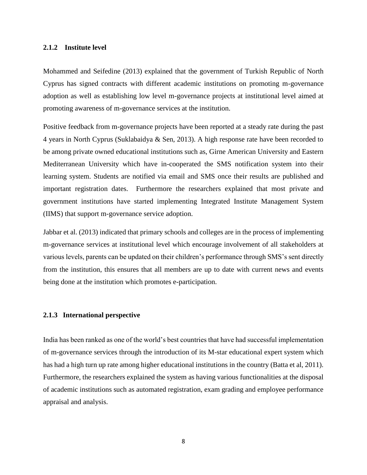#### <span id="page-20-0"></span>**2.1.2 Institute level**

Mohammed and Seifedine (2013) explained that the government of Turkish Republic of North Cyprus has signed contracts with different academic institutions on promoting m-governance adoption as well as establishing low level m-governance projects at institutional level aimed at promoting awareness of m-governance services at the institution.

Positive feedback from m-governance projects have been reported at a steady rate during the past 4 years in North Cyprus (Suklabaidya & Sen, 2013). A high response rate have been recorded to be among private owned educational institutions such as, Girne American University and Eastern Mediterranean University which have in-cooperated the SMS notification system into their learning system. Students are notified via email and SMS once their results are published and important registration dates. Furthermore the researchers explained that most private and government institutions have started implementing Integrated Institute Management System (IIMS) that support m-governance service adoption.

Jabbar et al. (2013) indicated that primary schools and colleges are in the process of implementing m-governance services at institutional level which encourage involvement of all stakeholders at various levels, parents can be updated on their children's performance through SMS's sent directly from the institution, this ensures that all members are up to date with current news and events being done at the institution which promotes e-participation.

#### <span id="page-20-1"></span>**2.1.3 International perspective**

India has been ranked as one of the world's best countries that have had successful implementation of m-governance services through the introduction of its M-star educational expert system which has had a high turn up rate among higher educational institutions in the country (Batta et al, 2011). Furthermore, the researchers explained the system as having various functionalities at the disposal of academic institutions such as automated registration, exam grading and employee performance appraisal and analysis.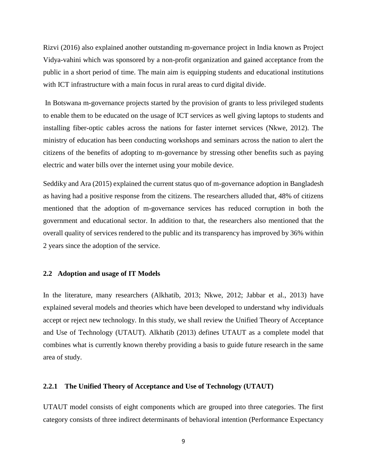Rizvi (2016) also explained another outstanding m-governance project in India known as Project Vidya-vahini which was sponsored by a non-profit organization and gained acceptance from the public in a short period of time. The main aim is equipping students and educational institutions with ICT infrastructure with a main focus in rural areas to curd digital divide.

In Botswana m-governance projects started by the provision of grants to less privileged students to enable them to be educated on the usage of ICT services as well giving laptops to students and installing fiber-optic cables across the nations for faster internet services (Nkwe, 2012). The ministry of education has been conducting workshops and seminars across the nation to alert the citizens of the benefits of adopting to m-governance by stressing other benefits such as paying electric and water bills over the internet using your mobile device.

Seddiky and Ara (2015) explained the current status quo of m-governance adoption in Bangladesh as having had a positive response from the citizens. The researchers alluded that, 48% of citizens mentioned that the adoption of m-governance services has reduced corruption in both the government and educational sector. In addition to that, the researchers also mentioned that the overall quality of services rendered to the public and its transparency has improved by 36% within 2 years since the adoption of the service.

#### <span id="page-21-0"></span>**2.2 Adoption and usage of IT Models**

In the literature, many researchers (Alkhatib, 2013; Nkwe, 2012; Jabbar et al., 2013) have explained several models and theories which have been developed to understand why individuals accept or reject new technology. In this study, we shall review the Unified Theory of Acceptance and Use of Technology (UTAUT). Alkhatib (2013) defines UTAUT as a complete model that combines what is currently known thereby providing a basis to guide future research in the same area of study.

#### <span id="page-21-1"></span>**2.2.1 The Unified Theory of Acceptance and Use of Technology (UTAUT)**

UTAUT model consists of eight components which are grouped into three categories. The first category consists of three indirect determinants of behavioral intention (Performance Expectancy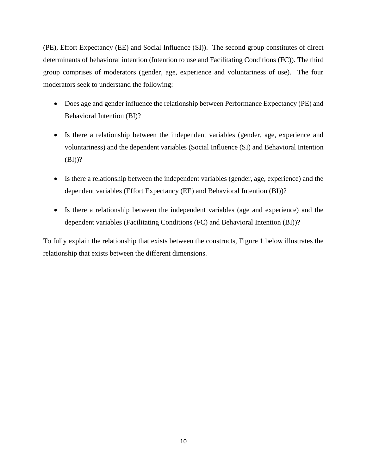(PE), Effort Expectancy (EE) and Social Influence (SI)). The second group constitutes of direct determinants of behavioral intention (Intention to use and Facilitating Conditions (FC)). The third group comprises of moderators (gender, age, experience and voluntariness of use). The four moderators seek to understand the following:

- Does age and gender influence the relationship between Performance Expectancy (PE) and Behavioral Intention (BI)?
- Is there a relationship between the independent variables (gender, age, experience and voluntariness) and the dependent variables (Social Influence (SI) and Behavioral Intention  $(BI))^?$
- Is there a relationship between the independent variables (gender, age, experience) and the dependent variables (Effort Expectancy (EE) and Behavioral Intention (BI))?
- Is there a relationship between the independent variables (age and experience) and the dependent variables (Facilitating Conditions (FC) and Behavioral Intention (BI))?

To fully explain the relationship that exists between the constructs, Figure 1 below illustrates the relationship that exists between the different dimensions.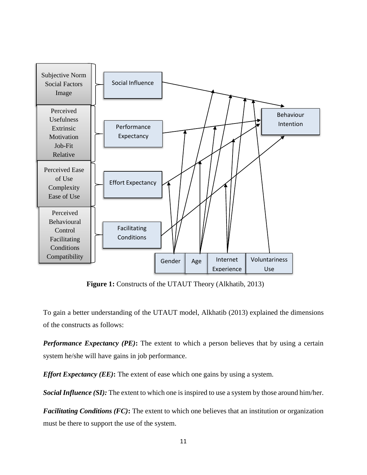

**Figure 1:** Constructs of the UTAUT Theory (Alkhatib, 2013)

To gain a better understanding of the UTAUT model, Alkhatib (2013) explained the dimensions of the constructs as follows:

*Performance Expectancy (PE)*: The extent to which a person believes that by using a certain system he/she will have gains in job performance.

*Effort Expectancy (EE)***:** The extent of ease which one gains by using a system.

*Social Influence (SI):* The extent to which one is inspired to use a system by those around him/her.

*Facilitating Conditions (FC)***:** The extent to which one believes that an institution or organization must be there to support the use of the system.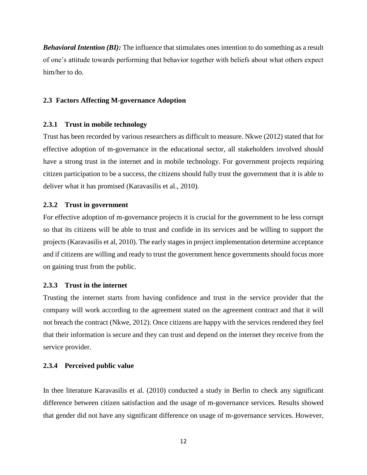*Behavioral Intention (BI):* The influence that stimulates ones intention to do something as a result of one's attitude towards performing that behavior together with beliefs about what others expect him/her to do.

#### <span id="page-24-0"></span>**2.3 Factors Affecting M-governance Adoption**

#### <span id="page-24-1"></span>**2.3.1 Trust in mobile technology**

Trust has been recorded by various researchers as difficult to measure. Nkwe (2012) stated that for effective adoption of m-governance in the educational sector, all stakeholders involved should have a strong trust in the internet and in mobile technology. For government projects requiring citizen participation to be a success, the citizens should fully trust the government that it is able to deliver what it has promised (Karavasilis et al., 2010).

#### <span id="page-24-2"></span>**2.3.2 Trust in government**

For effective adoption of m-governance projects it is crucial for the government to be less corrupt so that its citizens will be able to trust and confide in its services and be willing to support the projects (Karavasilis et al, 2010). The early stages in project implementation determine acceptance and if citizens are willing and ready to trust the government hence governments should focus more on gaining trust from the public.

#### <span id="page-24-3"></span>**2.3.3 Trust in the internet**

Trusting the internet starts from having confidence and trust in the service provider that the company will work according to the agreement stated on the agreement contract and that it will not breach the contract (Nkwe, 2012). Once citizens are happy with the services rendered they feel that their information is secure and they can trust and depend on the internet they receive from the service provider.

#### <span id="page-24-4"></span>**2.3.4 Perceived public value**

In thee literature Karavasilis et al. (2010) conducted a study in Berlin to check any significant difference between citizen satisfaction and the usage of m-governance services. Results showed that gender did not have any significant difference on usage of m-governance services. However,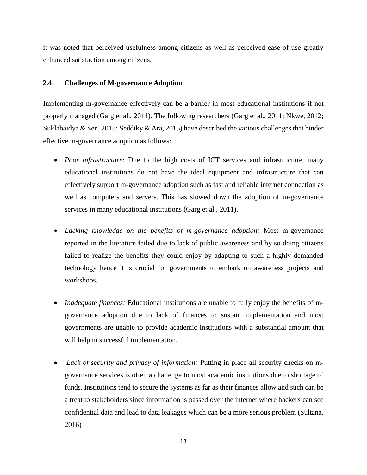it was noted that perceived usefulness among citizens as well as perceived ease of use greatly enhanced satisfaction among citizens.

#### <span id="page-25-0"></span>**2.4 Challenges of M-governance Adoption**

Implementing m-governance effectively can be a barrier in most educational institutions if not properly managed (Garg et al., 2011). The following researchers (Garg et al., 2011; Nkwe, 2012; Suklabaidya & Sen, 2013; Seddiky & Ara, 2015) have described the various challenges that hinder effective m-governance adoption as follows:

- *Poor infrastructure*: Due to the high costs of ICT services and infrastructure, many educational institutions do not have the ideal equipment and infrastructure that can effectively support m-governance adoption such as fast and reliable internet connection as well as computers and servers. This has slowed down the adoption of m-governance services in many educational institutions (Garg et al., 2011).
- *Lacking knowledge on the benefits of m-governance adoption:* Most m-governance reported in the literature failed due to lack of public awareness and by so doing citizens failed to realize the benefits they could enjoy by adapting to such a highly demanded technology hence it is crucial for governments to embark on awareness projects and workshops.
- *Inadequate finances:* Educational institutions are unable to fully enjoy the benefits of mgovernance adoption due to lack of finances to sustain implementation and most governments are unable to provide academic institutions with a substantial amount that will help in successful implementation.
- *Lack of security and privacy of information:* Putting in place all security checks on mgovernance services is often a challenge to most academic institutions due to shortage of funds. Institutions tend to secure the systems as far as their finances allow and such can be a treat to stakeholders since information is passed over the internet where hackers can see confidential data and lead to data leakages which can be a more serious problem (Sultana, 2016)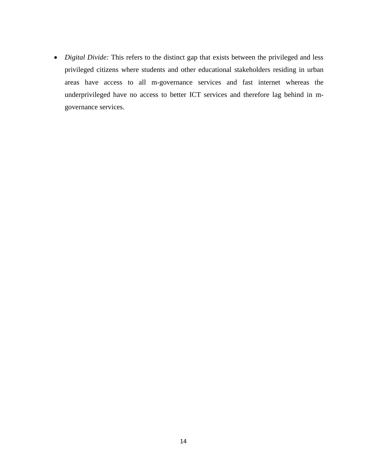*Digital Divide:* This refers to the distinct gap that exists between the privileged and less privileged citizens where students and other educational stakeholders residing in urban areas have access to all m-governance services and fast internet whereas the underprivileged have no access to better ICT services and therefore lag behind in mgovernance services.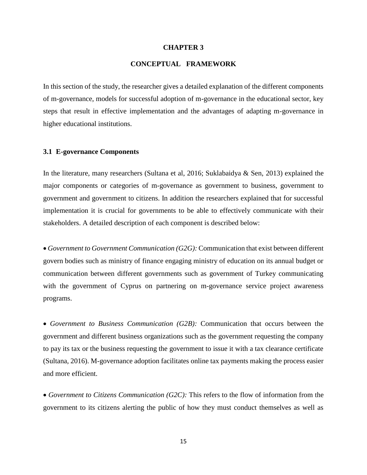#### **CHAPTER 3**

#### **CONCEPTUAL FRAMEWORK**

<span id="page-27-0"></span>In this section of the study, the researcher gives a detailed explanation of the different components of m-governance, models for successful adoption of m-governance in the educational sector, key steps that result in effective implementation and the advantages of adapting m-governance in higher educational institutions.

#### <span id="page-27-1"></span>**3.1 E-governance Components**

In the literature, many researchers (Sultana et al, 2016; Suklabaidya & Sen, 2013) explained the major components or categories of m-governance as government to business, government to government and government to citizens. In addition the researchers explained that for successful implementation it is crucial for governments to be able to effectively communicate with their stakeholders. A detailed description of each component is described below:

 *Government to Government Communication (G2G):* Communication that exist between different govern bodies such as ministry of finance engaging ministry of education on its annual budget or communication between different governments such as government of Turkey communicating with the government of Cyprus on partnering on m-governance service project awareness programs.

 *Government to Business Communication (G2B):* Communication that occurs between the government and different business organizations such as the government requesting the company to pay its tax or the business requesting the government to issue it with a tax clearance certificate (Sultana, 2016). M-governance adoption facilitates online tax payments making the process easier and more efficient.

 *Government to Citizens Communication (G2C):* This refers to the flow of information from the government to its citizens alerting the public of how they must conduct themselves as well as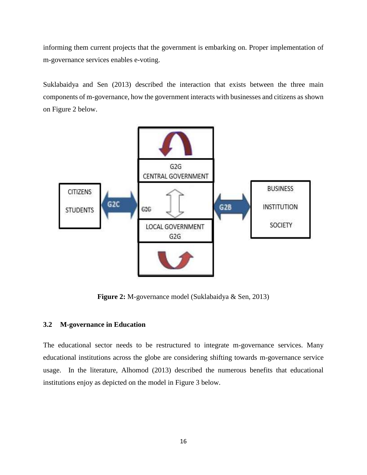informing them current projects that the government is embarking on. Proper implementation of m-governance services enables e-voting.

Suklabaidya and Sen (2013) described the interaction that exists between the three main components of m-governance, how the government interacts with businesses and citizens as shown on Figure 2 below.



**Figure 2:** M-governance model (Suklabaidya & Sen, 2013)

#### <span id="page-28-1"></span><span id="page-28-0"></span>**3.2 M-governance in Education**

The educational sector needs to be restructured to integrate m-governance services. Many educational institutions across the globe are considering shifting towards m-governance service usage. In the literature, Alhomod (2013) described the numerous benefits that educational institutions enjoy as depicted on the model in Figure 3 below.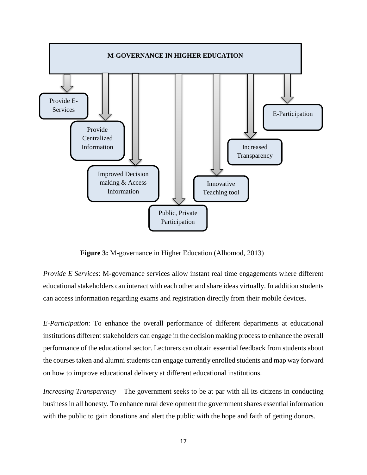

**Figure 3:** M-governance in Higher Education (Alhomod, 2013)

*Provide E Services*: M-governance services allow instant real time engagements where different educational stakeholders can interact with each other and share ideas virtually. In addition students can access information regarding exams and registration directly from their mobile devices.

*E-Participation*: To enhance the overall performance of different departments at educational institutions different stakeholders can engage in the decision making process to enhance the overall performance of the educational sector. Lecturers can obtain essential feedback from students about the courses taken and alumni students can engage currently enrolled students and map way forward on how to improve educational delivery at different educational institutions.

*Increasing Transparency* – The government seeks to be at par with all its citizens in conducting business in all honesty. To enhance rural development the government shares essential information with the public to gain donations and alert the public with the hope and faith of getting donors.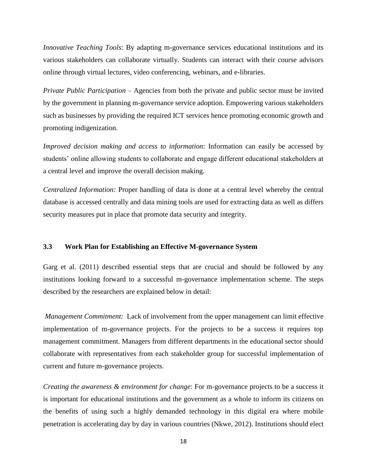*Innovative Teaching Tools*: By adapting m-governance services educational institutions and its various stakeholders can collaborate virtually. Students can interact with their course advisors online through virtual lectures, video conferencing, webinars, and e-libraries.

*Private Public Participation* – Agencies from both the private and public sector must be invited by the government in planning m-governance service adoption. Empowering various stakeholders such as businesses by providing the required ICT services hence promoting economic growth and promoting indigenization.

*Improved decision making and access to information*: Information can easily be accessed by students' online allowing students to collaborate and engage different educational stakeholders at a central level and improve the overall decision making.

*Centralized Information:* Proper handling of data is done at a central level whereby the central database is accessed centrally and data mining tools are used for extracting data as well as differs security measures put in place that promote data security and integrity.

#### <span id="page-30-0"></span>**3.3 Work Plan for Establishing an Effective M-governance System**

Garg et al. (2011) described essential steps that are crucial and should be followed by any institutions looking forward to a successful m-governance implementation scheme. The steps described by the researchers are explained below in detail:

*Management Commitment:* Lack of involvement from the upper management can limit effective implementation of m-governance projects. For the projects to be a success it requires top management commitment. Managers from different departments in the educational sector should collaborate with representatives from each stakeholder group for successful implementation of current and future m-governance projects.

*Creating the awareness & environment for change*: For m-governance projects to be a success it is important for educational institutions and the government as a whole to inform its citizens on the benefits of using such a highly demanded technology in this digital era where mobile penetration is accelerating day by day in various countries (Nkwe, 2012). Institutions should elect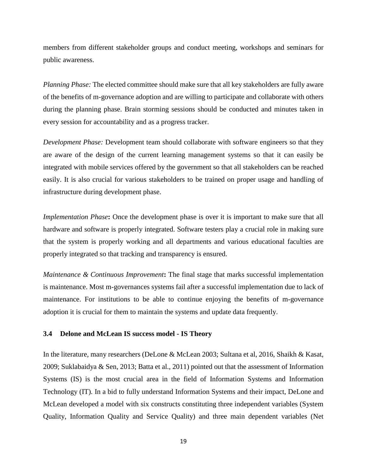members from different stakeholder groups and conduct meeting, workshops and seminars for public awareness.

*Planning Phase:* The elected committee should make sure that all key stakeholders are fully aware of the benefits of m-governance adoption and are willing to participate and collaborate with others during the planning phase. Brain storming sessions should be conducted and minutes taken in every session for accountability and as a progress tracker.

*Development Phase:* Development team should collaborate with software engineers so that they are aware of the design of the current learning management systems so that it can easily be integrated with mobile services offered by the government so that all stakeholders can be reached easily. It is also crucial for various stakeholders to be trained on proper usage and handling of infrastructure during development phase.

*Implementation Phase***:** Once the development phase is over it is important to make sure that all hardware and software is properly integrated. Software testers play a crucial role in making sure that the system is properly working and all departments and various educational faculties are properly integrated so that tracking and transparency is ensured.

*Maintenance & Continuous Improvement*: The final stage that marks successful implementation is maintenance. Most m-governances systems fail after a successful implementation due to lack of maintenance. For institutions to be able to continue enjoying the benefits of m-governance adoption it is crucial for them to maintain the systems and update data frequently.

#### <span id="page-31-0"></span>**3.4 Delone and McLean IS success model - IS Theory**

In the literature, many researchers (DeLone & McLean 2003; Sultana et al, 2016, Shaikh & Kasat, 2009; Suklabaidya & Sen, 2013; Batta et al., 2011) pointed out that the assessment of Information Systems (IS) is the most crucial area in the field of Information Systems and Information Technology (IT). In a bid to fully understand Information Systems and their impact, DeLone and McLean developed a model with six constructs constituting three independent variables (System Quality, Information Quality and Service Quality) and three main dependent variables (Net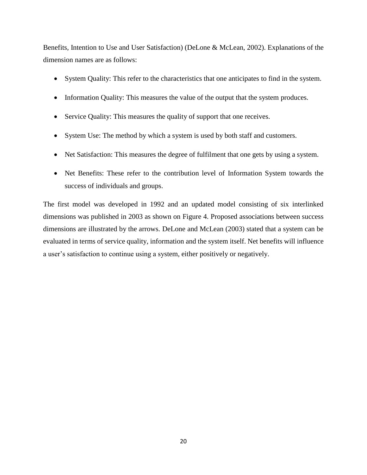Benefits, Intention to Use and User Satisfaction) (DeLone & McLean, 2002). Explanations of the dimension names are as follows:

- System Quality: This refer to the characteristics that one anticipates to find in the system.
- Information Quality: This measures the value of the output that the system produces.
- Service Quality: This measures the quality of support that one receives.
- System Use: The method by which a system is used by both staff and customers.
- Net Satisfaction: This measures the degree of fulfilment that one gets by using a system.
- Net Benefits: These refer to the contribution level of Information System towards the success of individuals and groups.

The first model was developed in 1992 and an updated model consisting of six interlinked dimensions was published in 2003 as shown on Figure 4. Proposed associations between success dimensions are illustrated by the arrows. DeLone and McLean (2003) stated that a system can be evaluated in terms of service quality, information and the system itself. Net benefits will influence a user's satisfaction to continue using a system, either positively or negatively.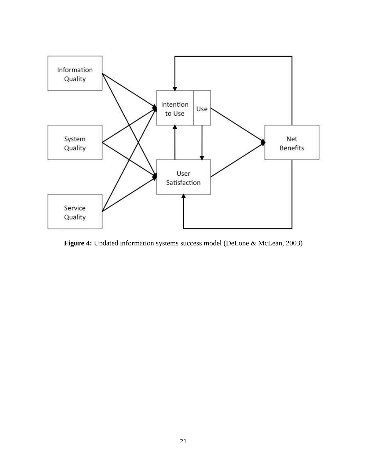

<span id="page-33-0"></span>**Figure 4:** Updated information systems success model (DeLone & McLean, 2003)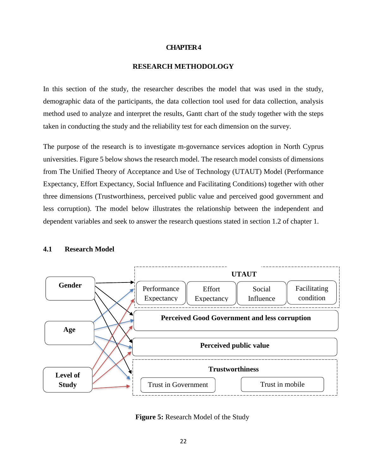#### **CHAPTER 4**

#### **RESEARCH METHODOLOGY**

<span id="page-34-0"></span>In this section of the study, the researcher describes the model that was used in the study, demographic data of the participants, the data collection tool used for data collection, analysis method used to analyze and interpret the results, Gantt chart of the study together with the steps taken in conducting the study and the reliability test for each dimension on the survey.

The purpose of the research is to investigate m-governance services adoption in North Cyprus universities. Figure 5 below shows the research model. The research model consists of dimensions from The Unified Theory of Acceptance and Use of Technology (UTAUT) Model (Performance Expectancy, Effort Expectancy, Social Influence and Facilitating Conditions) together with other three dimensions (Trustworthiness, perceived public value and perceived good government and less corruption). The model below illustrates the relationship between the independent and dependent variables and seek to answer the research questions stated in section 1.2 of chapter 1.



#### <span id="page-34-1"></span>**4.1 Research Model**

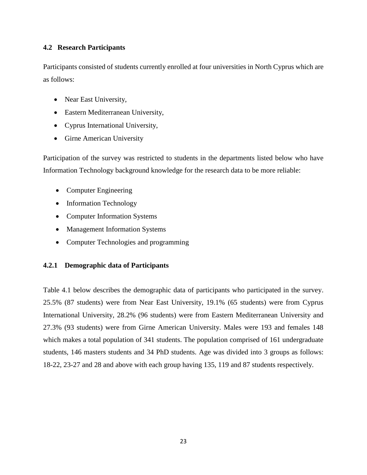### <span id="page-35-0"></span>**4.2 Research Participants**

Participants consisted of students currently enrolled at four universities in North Cyprus which are as follows:

- Near East University,
- Eastern Mediterranean University,
- Cyprus International University,
- Girne American University

Participation of the survey was restricted to students in the departments listed below who have Information Technology background knowledge for the research data to be more reliable:

- Computer Engineering
- Information Technology
- Computer Information Systems
- Management Information Systems
- Computer Technologies and programming

#### <span id="page-35-1"></span>**4.2.1 Demographic data of Participants**

Table 4.1 below describes the demographic data of participants who participated in the survey. 25.5% (87 students) were from Near East University, 19.1% (65 students) were from Cyprus International University, 28.2% (96 students) were from Eastern Mediterranean University and 27.3% (93 students) were from Girne American University. Males were 193 and females 148 which makes a total population of 341 students. The population comprised of 161 undergraduate students, 146 masters students and 34 PhD students. Age was divided into 3 groups as follows: 18-22, 23-27 and 28 and above with each group having 135, 119 and 87 students respectively.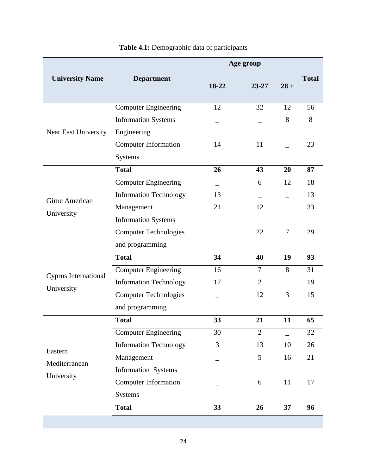<span id="page-36-0"></span>

|                                                                    |                                                                                                                                                                                                                                                                             | Age group                  |                                                               |                         |                                              |
|--------------------------------------------------------------------|-----------------------------------------------------------------------------------------------------------------------------------------------------------------------------------------------------------------------------------------------------------------------------|----------------------------|---------------------------------------------------------------|-------------------------|----------------------------------------------|
| <b>University Name</b>                                             | <b>Department</b>                                                                                                                                                                                                                                                           | 18-22                      | $23 - 27$                                                     | $28 +$                  | <b>Total</b>                                 |
| Near East University                                               | <b>Computer Engineering</b><br><b>Information Systems</b><br>Engineering                                                                                                                                                                                                    | 12                         | 32                                                            | 12<br>8                 | 56<br>8                                      |
|                                                                    | <b>Computer Information</b><br>Systems                                                                                                                                                                                                                                      | 14                         | 11                                                            |                         | 23                                           |
|                                                                    | <b>Total</b>                                                                                                                                                                                                                                                                | 26                         | 43                                                            | 20                      | 87                                           |
| Girne American<br>University<br>Cyprus International<br>University | <b>Computer Engineering</b><br><b>Information Technology</b><br>Management<br><b>Information Systems</b><br><b>Computer Technologies</b><br>and programming<br><b>Total</b><br><b>Computer Engineering</b><br><b>Information Technology</b><br><b>Computer Technologies</b> | 13<br>21<br>34<br>16<br>17 | 6<br>12<br>22<br>40<br>$\overline{7}$<br>$\overline{2}$<br>12 | 12<br>7<br>19<br>8<br>3 | 18<br>13<br>33<br>29<br>93<br>31<br>19<br>15 |
|                                                                    | and programming                                                                                                                                                                                                                                                             |                            |                                                               |                         |                                              |
| Eastern<br>Mediterranean                                           | <b>Total</b><br>Computer Engineering<br><b>Information Technology</b><br>Management<br>Information Systems                                                                                                                                                                  | 33<br>30<br>3              | 21<br>$\overline{2}$<br>13<br>5                               | 11<br>10<br>16          | 65<br>32<br>26<br>21                         |
| University                                                         | <b>Computer Information</b><br>Systems<br><b>Total</b>                                                                                                                                                                                                                      | 33                         | 6<br>26                                                       | 11<br>37                | 17<br>96                                     |
|                                                                    |                                                                                                                                                                                                                                                                             |                            |                                                               |                         |                                              |

# **Table 4.1:** Demographic data of participants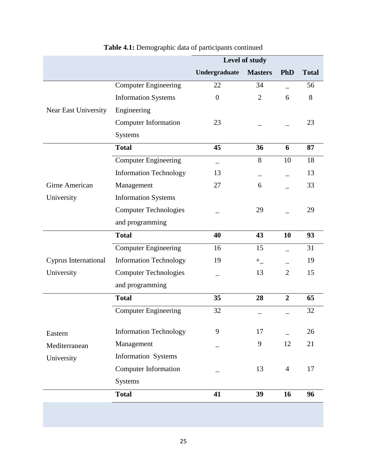|                      |                               | Level of study   |                |                |              |
|----------------------|-------------------------------|------------------|----------------|----------------|--------------|
|                      |                               | Undergraduate    | <b>Masters</b> | <b>PhD</b>     | <b>Total</b> |
|                      | <b>Computer Engineering</b>   | 22               | 34             |                | 56           |
|                      | <b>Information Systems</b>    | $\boldsymbol{0}$ | $\overline{2}$ | 6              | 8            |
| Near East University | Engineering                   |                  |                |                |              |
|                      | <b>Computer Information</b>   | 23               |                |                | 23           |
|                      | <b>Systems</b>                |                  |                |                |              |
|                      | <b>Total</b>                  | 45               | 36             | 6              | 87           |
|                      | <b>Computer Engineering</b>   |                  | 8              | 10             | 18           |
|                      | <b>Information Technology</b> | 13               |                |                | 13           |
| Girne American       | Management                    | 27               | 6              |                | 33           |
| University           | <b>Information Systems</b>    |                  |                |                |              |
|                      | <b>Computer Technologies</b>  |                  | 29             |                | 29           |
|                      | and programming               |                  |                |                |              |
|                      | <b>Total</b>                  | 40               | 43             | 10             | 93           |
|                      | <b>Computer Engineering</b>   | 16               | 15             |                | 31           |
| Cyprus International | <b>Information Technology</b> | 19               | $+$            |                | 19           |
| University           | <b>Computer Technologies</b>  |                  | 13             | $\overline{2}$ | 15           |
|                      | and programming               |                  |                |                |              |
|                      | <b>Total</b>                  | 35               | 28             | $\overline{2}$ | 65           |
|                      | <b>Computer Engineering</b>   | 32               |                |                | 32           |
| Eastern              | <b>Information Technology</b> | 9                | 17             |                | 26           |
| Mediterranean        | Management                    |                  | 9              | 12             | 21           |
| University           | <b>Information Systems</b>    |                  |                |                |              |
|                      | <b>Computer Information</b>   |                  | 13             | $\overline{4}$ | 17           |
|                      | <b>Systems</b>                |                  |                |                |              |
|                      | <b>Total</b>                  | 41               | 39             | 16             | 96           |
|                      |                               |                  |                |                |              |

# **Table 4.1:** Demographic data of participants continued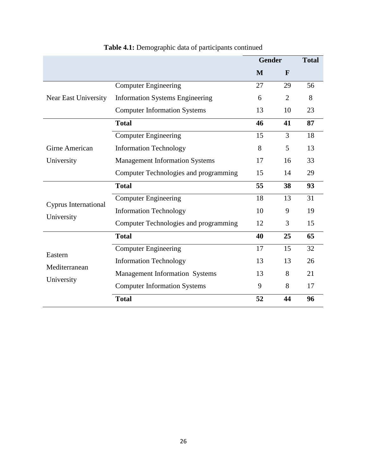|                      |                                        | <b>Gender</b> | <b>Total</b>   |    |
|----------------------|----------------------------------------|---------------|----------------|----|
|                      |                                        | M             | $\mathbf F$    |    |
|                      | <b>Computer Engineering</b>            | 27            | 29             | 56 |
| Near East University | <b>Information Systems Engineering</b> | 6             | $\overline{2}$ | 8  |
|                      | <b>Computer Information Systems</b>    | 13            | 10             | 23 |
|                      | <b>Total</b>                           | 46            | 41             | 87 |
|                      | <b>Computer Engineering</b>            | 15            | 3              | 18 |
| Girne American       | <b>Information Technology</b>          | 8             | 5              | 13 |
| University           | <b>Management Information Systems</b>  | 17            | 16             | 33 |
|                      | Computer Technologies and programming  | 15            | 14             | 29 |
|                      | <b>Total</b>                           | 55            | 38             | 93 |
| Cyprus International | <b>Computer Engineering</b>            | 18            | 13             | 31 |
| University           | <b>Information Technology</b>          | 10            | 9              | 19 |
|                      | Computer Technologies and programming  | 12            | 3              | 15 |
|                      | <b>Total</b>                           | 40            | 25             | 65 |
| Eastern              | <b>Computer Engineering</b>            | 17            | 15             | 32 |
| Mediterranean        | <b>Information Technology</b>          | 13            | 13             | 26 |
|                      | <b>Management Information Systems</b>  | 13            | 8              | 21 |
| University           | <b>Computer Information Systems</b>    | 9             | 8              | 17 |
|                      | <b>Total</b>                           | 52            | 44             | 96 |

# **Table 4.1:** Demographic data of participants continued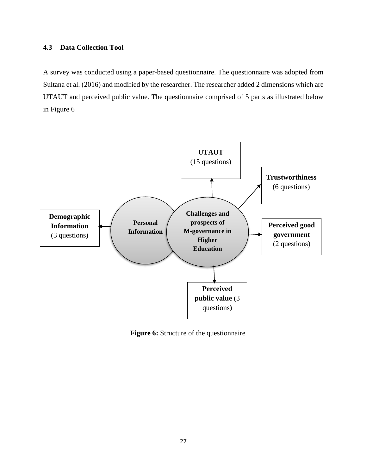#### <span id="page-39-0"></span>**4.3 Data Collection Tool**

A survey was conducted using a paper-based questionnaire. The questionnaire was adopted from Sultana et al. (2016) and modified by the researcher. The researcher added 2 dimensions which are UTAUT and perceived public value. The questionnaire comprised of 5 parts as illustrated below in Figure 6



**Figure 6:** Structure of the questionnaire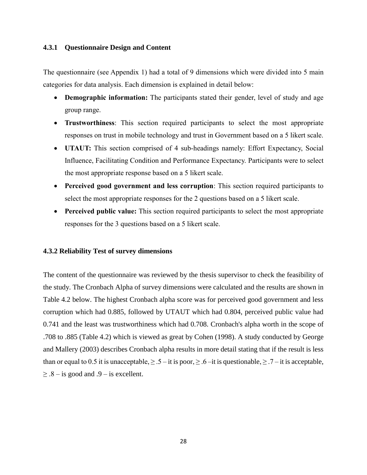#### <span id="page-40-0"></span>**4.3.1 Questionnaire Design and Content**

The questionnaire (see Appendix 1) had a total of 9 dimensions which were divided into 5 main categories for data analysis. Each dimension is explained in detail below:

- **Demographic information:** The participants stated their gender, level of study and age group range.
- **Trustworthiness**: This section required participants to select the most appropriate responses on trust in mobile technology and trust in Government based on a 5 likert scale.
- **UTAUT:** This section comprised of 4 sub-headings namely: Effort Expectancy, Social Influence, Facilitating Condition and Performance Expectancy. Participants were to select the most appropriate response based on a 5 likert scale.
- **Perceived good government and less corruption**: This section required participants to select the most appropriate responses for the 2 questions based on a 5 likert scale.
- **Perceived public value:** This section required participants to select the most appropriate responses for the 3 questions based on a 5 likert scale.

#### <span id="page-40-1"></span>**4.3.2 Reliability Test of survey dimensions**

The content of the questionnaire was reviewed by the thesis supervisor to check the feasibility of the study. The Cronbach Alpha of survey dimensions were calculated and the results are shown in Table 4.2 below. The highest Cronbach alpha score was for perceived good government and less corruption which had 0.885, followed by UTAUT which had 0.804, perceived public value had 0.741 and the least was trustworthiness which had 0.708. Cronbach's alpha worth in the scope of .708 to .885 (Table 4.2) which is viewed as great by Cohen (1998). A study conducted by George and Mallery (2003) describes Cronbach alpha results in more detail stating that if the result is less than or equal to 0.5 it is unacceptable,  $\geq 0.5 -$ it is poor,  $\geq 0.6 -$ it is questionable,  $\geq 0.7 -$ it is acceptable,  $\geq$  .8 – is good and .9 – is excellent.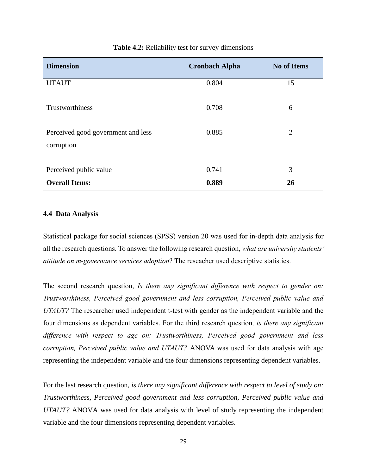<span id="page-41-1"></span>

| <b>Dimension</b>                                 | <b>Cronbach Alpha</b> | <b>No of Items</b> |
|--------------------------------------------------|-----------------------|--------------------|
| <b>UTAUT</b>                                     | 0.804                 | 15                 |
| Trustworthiness                                  | 0.708                 | 6                  |
| Perceived good government and less<br>corruption | 0.885                 | $\overline{2}$     |
| Perceived public value                           | 0.741                 | 3                  |
| <b>Overall Items:</b>                            | 0.889                 | 26                 |

#### **Table 4.2:** Reliability test for survey dimensions

#### <span id="page-41-0"></span>**4.4 Data Analysis**

Statistical package for social sciences (SPSS) version 20 was used for in-depth data analysis for all the research questions. To answer the following research question, *what are university students' attitude on m-governance services adoption*? The reseacher used descriptive statistics.

The second research question, *Is there any significant difference with respect to gender on: Trustworthiness, Perceived good government and less corruption, Perceived public value and UTAUT?* The researcher used independent t-test with gender as the independent variable and the four dimensions as dependent variables. For the third research question*, is there any significant difference with respect to age on: Trustworthiness, Perceived good government and less corruption, Perceived public value and UTAUT?* ANOVA was used for data analysis with age representing the independent variable and the four dimensions representing dependent variables.

For the last research question, *is there any significant difference with respect to level of study on: Trustworthiness, Perceived good government and less corruption, Perceived public value and UTAUT?* ANOVA was used for data analysis with level of study representing the independent variable and the four dimensions representing dependent variables.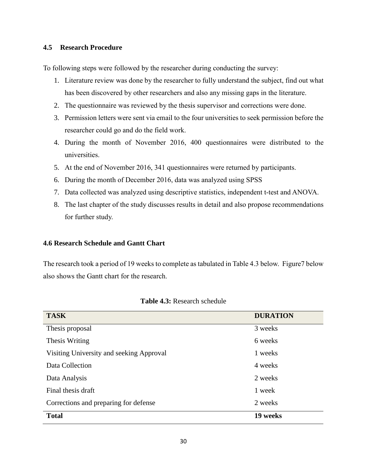#### <span id="page-42-0"></span>**4.5 Research Procedure**

To following steps were followed by the researcher during conducting the survey:

- 1. Literature review was done by the researcher to fully understand the subject, find out what has been discovered by other researchers and also any missing gaps in the literature.
- 2. The questionnaire was reviewed by the thesis supervisor and corrections were done.
- 3. Permission letters were sent via email to the four universities to seek permission before the researcher could go and do the field work.
- 4. During the month of November 2016, 400 questionnaires were distributed to the universities.
- 5. At the end of November 2016, 341 questionnaires were returned by participants.
- 6. During the month of December 2016, data was analyzed using SPSS
- 7. Data collected was analyzed using descriptive statistics, independent t-test and ANOVA.
- 8. The last chapter of the study discusses results in detail and also propose recommendations for further study.

#### <span id="page-42-1"></span>**4.6 Research Schedule and Gantt Chart**

The research took a period of 19 weeks to complete as tabulated in Table 4.3 below. Figure7 below also shows the Gantt chart for the research.

<span id="page-42-2"></span>

| <b>TASK</b>                              | <b>DURATION</b> |
|------------------------------------------|-----------------|
| Thesis proposal                          | 3 weeks         |
| Thesis Writing                           | 6 weeks         |
| Visiting University and seeking Approval | 1 weeks         |
| Data Collection                          | 4 weeks         |
| Data Analysis                            | 2 weeks         |
| Final thesis draft                       | 1 week          |
| Corrections and preparing for defense    | 2 weeks         |
| <b>Total</b>                             | 19 weeks        |

| Table 4.3: Research schedule |
|------------------------------|
|------------------------------|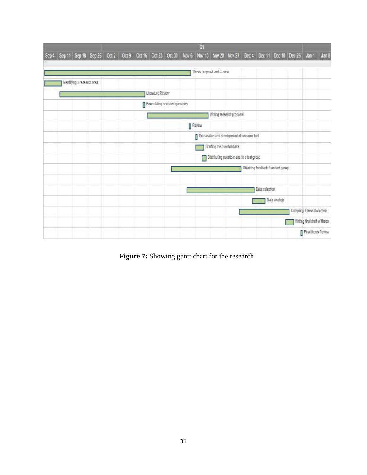|                                                                                                                               |                             |  |  |                   |                                | Qt                          |                                              |                 |                                    |                               |  |
|-------------------------------------------------------------------------------------------------------------------------------|-----------------------------|--|--|-------------------|--------------------------------|-----------------------------|----------------------------------------------|-----------------|------------------------------------|-------------------------------|--|
| Sep 4 Sep 11 Sep 18 Sep 25 Oct 2 Oct 9 Oct 16 Oct 23 Oct 30 Nov 6 Nov 13 Nov 20 Nov 27 Dec 4 Dec 11 Dec 18 Dec 25 Jan 1 Jan 8 |                             |  |  |                   |                                |                             |                                              |                 |                                    |                               |  |
|                                                                                                                               |                             |  |  |                   |                                |                             |                                              |                 |                                    |                               |  |
|                                                                                                                               |                             |  |  |                   |                                | Thesis proposal and Review. |                                              |                 |                                    |                               |  |
|                                                                                                                               | Identifying a research area |  |  |                   |                                |                             |                                              |                 |                                    |                               |  |
|                                                                                                                               |                             |  |  | Literature Review |                                |                             |                                              |                 |                                    |                               |  |
|                                                                                                                               |                             |  |  |                   | Formulating research questions |                             |                                              |                 |                                    |                               |  |
|                                                                                                                               |                             |  |  |                   |                                |                             | Writing research proposal                    |                 |                                    |                               |  |
|                                                                                                                               |                             |  |  |                   |                                | $\mathbb{I}$ Revew          |                                              |                 |                                    |                               |  |
|                                                                                                                               |                             |  |  |                   |                                |                             | Preparation and development of research tool |                 |                                    |                               |  |
|                                                                                                                               |                             |  |  |                   |                                |                             | Drafting the questionnaire                   |                 |                                    |                               |  |
|                                                                                                                               |                             |  |  |                   |                                |                             | Distributing questionnaire to a test group   |                 |                                    |                               |  |
|                                                                                                                               |                             |  |  |                   |                                |                             |                                              |                 | Obtaining feedback from test group |                               |  |
|                                                                                                                               |                             |  |  |                   |                                |                             |                                              |                 |                                    |                               |  |
|                                                                                                                               |                             |  |  |                   |                                |                             |                                              | Data collection |                                    |                               |  |
|                                                                                                                               |                             |  |  |                   |                                |                             |                                              |                 | Data analysis                      |                               |  |
|                                                                                                                               |                             |  |  |                   |                                |                             |                                              |                 |                                    | Compiling Thesis Document     |  |
|                                                                                                                               |                             |  |  |                   |                                |                             |                                              |                 |                                    | Writing final draft of thesis |  |
|                                                                                                                               |                             |  |  |                   |                                |                             |                                              |                 |                                    | Final thesis Review           |  |

<span id="page-43-0"></span>**Figure 7:** Showing gantt chart for the research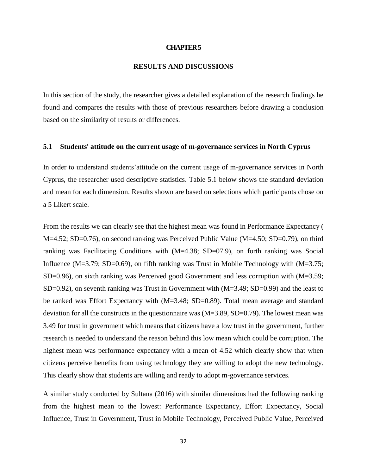#### **CHAPTER 5**

#### **RESULTS AND DISCUSSIONS**

<span id="page-44-0"></span>In this section of the study, the researcher gives a detailed explanation of the research findings he found and compares the results with those of previous researchers before drawing a conclusion based on the similarity of results or differences.

#### <span id="page-44-1"></span>**5.1 Students' attitude on the current usage of m-governance services in North Cyprus**

In order to understand students'attitude on the current usage of m-governance services in North Cyprus, the researcher used descriptive statistics. Table 5.1 below shows the standard deviation and mean for each dimension. Results shown are based on selections which participants chose on a 5 Likert scale.

From the results we can clearly see that the highest mean was found in Performance Expectancy ( M=4.52; SD=0.76), on second ranking was Perceived Public Value (M=4.50; SD=0.79), on third ranking was Facilitating Conditions with  $(M=4.38; SD=07.9)$ , on forth ranking was Social Influence (M=3.79; SD=0.69), on fifth ranking was Trust in Mobile Technology with  $(M=3.75;$ SD=0.96), on sixth ranking was Perceived good Government and less corruption with (M=3.59;  $SD=0.92$ ), on seventh ranking was Trust in Government with  $(M=3.49; SD=0.99)$  and the least to be ranked was Effort Expectancy with (M=3.48; SD=0.89). Total mean average and standard deviation for all the constructs in the questionnaire was (M=3.89, SD=0.79). The lowest mean was 3.49 for trust in government which means that citizens have a low trust in the government, further research is needed to understand the reason behind this low mean which could be corruption. The highest mean was performance expectancy with a mean of 4.52 which clearly show that when citizens perceive benefits from using technology they are willing to adopt the new technology. This clearly show that students are willing and ready to adopt m-governance services.

A similar study conducted by Sultana (2016) with similar dimensions had the following ranking from the highest mean to the lowest: Performance Expectancy, Effort Expectancy, Social Influence, Trust in Government, Trust in Mobile Technology, Perceived Public Value, Perceived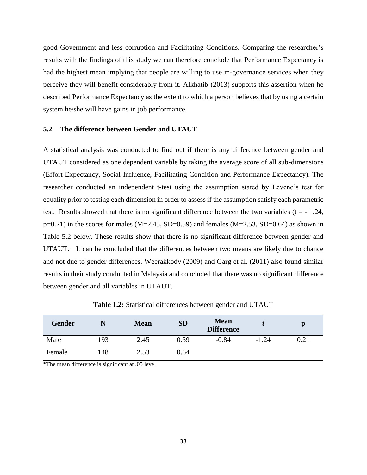good Government and less corruption and Facilitating Conditions. Comparing the researcher's results with the findings of this study we can therefore conclude that Performance Expectancy is had the highest mean implying that people are willing to use m-governance services when they perceive they will benefit considerably from it. Alkhatib (2013) supports this assertion when he described Performance Expectancy as the extent to which a person believes that by using a certain system he/she will have gains in job performance.

#### <span id="page-45-1"></span><span id="page-45-0"></span>**5.2 The difference between Gender and UTAUT**

A statistical analysis was conducted to find out if there is any difference between gender and UTAUT considered as one dependent variable by taking the average score of all sub-dimensions (Effort Expectancy, Social Influence, Facilitating Condition and Performance Expectancy). The researcher conducted an independent t-test using the assumption stated by Levene's test for equality prior to testing each dimension in order to assess if the assumption satisfy each parametric test. Results showed that there is no significant difference between the two variables  $(t = -1.24,$  $p=0.21$ ) in the scores for males (M=2.45, SD=0.59) and females (M=2.53, SD=0.64) as shown in Table 5.2 below. These results show that there is no significant difference between gender and UTAUT. It can be concluded that the differences between two means are likely due to chance and not due to gender differences. Weerakkody (2009) and Garg et al. (2011) also found similar results in their study conducted in Malaysia and concluded that there was no significant difference between gender and all variables in UTAUT.

<span id="page-45-2"></span>

| Gender |     | <b>Mean</b> | <b>SD</b> | <b>Mean</b><br><b>Difference</b> |         | D    |
|--------|-----|-------------|-----------|----------------------------------|---------|------|
| Male   | 193 | 2.45        | 0.59      | $-0.84$                          | $-1.24$ | 0.21 |
| Female | 148 | 2.53        | 0.64      |                                  |         |      |

**Table 1.2:** Statistical differences between gender and UTAUT

**\***The mean difference is significant at .05 level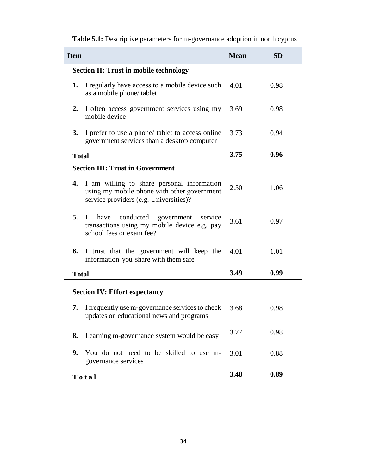| <b>Item</b>                                                                                                                                  | <b>Mean</b>  | <b>SD</b> |  |  |  |  |  |  |
|----------------------------------------------------------------------------------------------------------------------------------------------|--------------|-----------|--|--|--|--|--|--|
| <b>Section II: Trust in mobile technology</b>                                                                                                |              |           |  |  |  |  |  |  |
| I regularly have access to a mobile device such<br>1.<br>as a mobile phone/tablet                                                            | 0.98<br>4.01 |           |  |  |  |  |  |  |
| I often access government services using my<br>2.<br>mobile device                                                                           | 3.69         | 0.98      |  |  |  |  |  |  |
| 3.<br>I prefer to use a phone/ tablet to access online<br>government services than a desktop computer                                        | 3.73         | 0.94      |  |  |  |  |  |  |
| <b>Total</b>                                                                                                                                 | 3.75         | 0.96      |  |  |  |  |  |  |
| <b>Section III: Trust in Government</b>                                                                                                      |              |           |  |  |  |  |  |  |
| I am willing to share personal information<br>4.<br>using my mobile phone with other government<br>service providers (e.g. Universities)?    | 2.50         | 1.06      |  |  |  |  |  |  |
| 5.<br>conducted<br>have<br>government<br>$\mathbf{I}$<br>service<br>transactions using my mobile device e.g. pay<br>school fees or exam fee? | 3.61         | 0.97      |  |  |  |  |  |  |
| 6.<br>I trust that the government will keep the<br>information you share with them safe                                                      | 4.01         | 1.01      |  |  |  |  |  |  |
| <b>Total</b>                                                                                                                                 | 3.49         | 0.99      |  |  |  |  |  |  |
| <b>Section IV: Effort expectancy</b>                                                                                                         |              |           |  |  |  |  |  |  |
| I frequently use m-governance services to check<br>7.<br>updates on educational news and programs                                            | 3.68         | 0.98      |  |  |  |  |  |  |
| Learning m-governance system would be easy<br>8.                                                                                             | 3.77         | 0.98      |  |  |  |  |  |  |
| You do not need to be skilled to use m-<br>9.<br>governance services                                                                         | 3.01         | 0.88      |  |  |  |  |  |  |
| Total                                                                                                                                        | 3.48         | 0.89      |  |  |  |  |  |  |

**Table 5.1:** Descriptive parameters for m-governance adoption in north cyprus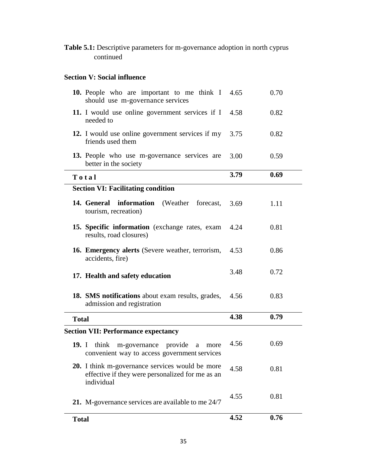**Table 5.1:** Descriptive parameters for m-governance adoption in north cyprus continued

# **Section V: Social influence**

|              | 10. People who are important to me think I<br>should use m-governance services                                           | 4.65 | 0.70 |
|--------------|--------------------------------------------------------------------------------------------------------------------------|------|------|
|              | 11. I would use online government services if I<br>needed to                                                             | 4.58 | 0.82 |
|              | 12. I would use online government services if my<br>friends used them                                                    | 3.75 | 0.82 |
|              | 13. People who use m-governance services are<br>better in the society                                                    | 3.00 | 0.59 |
|              | Total                                                                                                                    | 3.79 | 0.69 |
|              | <b>Section VI: Facilitating condition</b>                                                                                |      |      |
|              | 14. General information (Weather forecast,<br>tourism, recreation)                                                       | 3.69 | 1.11 |
|              | 15. Specific information (exchange rates, exam<br>results, road closures)                                                | 4.24 | 0.81 |
|              | 16. Emergency alerts (Severe weather, terrorism,<br>accidents, fire)                                                     | 4.53 | 0.86 |
|              | 17. Health and safety education                                                                                          | 3.48 | 0.72 |
|              | 18. SMS notifications about exam results, grades,<br>admission and registration                                          | 4.56 | 0.83 |
| <b>Total</b> |                                                                                                                          | 4.38 | 0.79 |
|              | <b>Section VII: Performance expectancy</b>                                                                               |      |      |
| 19. I        | m-governance provide<br>think<br>a<br>more<br>convenient way to access government services                               | 4.56 | 0.69 |
|              | <b>20.</b> I think m-governance services would be more<br>effective if they were personalized for me as an<br>individual | 4.58 | 0.81 |
|              | 21. M-governance services are available to me 24/7                                                                       | 4.55 | 0.81 |
| <b>Total</b> |                                                                                                                          | 4.52 | 0.76 |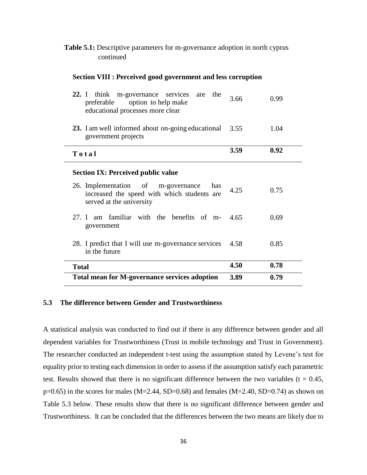| <b>Table 5.1:</b> Descriptive parameters for m-governance adoption in north cyprus |  |  |
|------------------------------------------------------------------------------------|--|--|
| continued                                                                          |  |  |

#### **Section VIII : Perceived good government and less corruption**

| think m-governance services are<br>22. I<br>the<br>preferable option to help make<br>educational processes more clear | 3.66 | 0.99 |
|-----------------------------------------------------------------------------------------------------------------------|------|------|
| 23. I am well informed about on-going educational<br>government projects                                              | 3.55 | 1.04 |
| Total                                                                                                                 | 3.59 | 0.92 |
| <b>Section IX: Perceived public value</b>                                                                             |      |      |
| 26. Implementation of m-governance<br>has<br>increased the speed with which students are<br>served at the university  | 4.25 | 0.75 |
| 27. I am familiar with the benefits of m-<br>government                                                               | 4.65 | 0.69 |
| 28. I predict that I will use m-governance services<br>in the future                                                  | 4.58 | 0.85 |
| <b>Total</b>                                                                                                          | 4.50 | 0.78 |
| <b>Total mean for M-governance services adoption</b>                                                                  | 3.89 | 0.79 |

#### <span id="page-48-0"></span>**5.3 The difference between Gender and Trustworthiness**

A statistical analysis was conducted to find out if there is any difference between gender and all dependent variables for Trustworthiness (Trust in mobile technology and Trust in Government). The researcher conducted an independent t-test using the assumption stated by Levene's test for equality prior to testing each dimension in order to assess if the assumption satisfy each parametric test. Results showed that there is no significant difference between the two variables ( $t = 0.45$ ,  $p=0.65$ ) in the scores for males (M=2.44, SD=0.68) and females (M=2.40, SD=0.74) as shown on Table 5.3 below. These results show that there is no significant difference between gender and Trustworthiness. It can be concluded that the differences between the two means are likely due to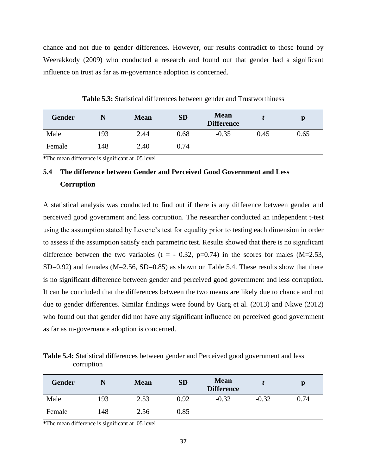chance and not due to gender differences. However, our results contradict to those found by Weerakkody (2009) who conducted a research and found out that gender had a significant influence on trust as far as m-governance adoption is concerned.

<span id="page-49-1"></span>

| <b>Gender</b> | N   | <b>Mean</b> | <b>SD</b> | <b>Mean</b><br><b>Difference</b> |      | p    |
|---------------|-----|-------------|-----------|----------------------------------|------|------|
| Male          | 193 | 2.44        | 0.68      | $-0.35$                          | 0.45 | 0.65 |
| Female        | 148 | 2.40        | 0.74      |                                  |      |      |

**Table 5.3:** Statistical differences between gender and Trustworthiness

**\***The mean difference is significant at .05 level

# <span id="page-49-0"></span>**5.4 The difference between Gender and Perceived Good Government and Less Corruption**

A statistical analysis was conducted to find out if there is any difference between gender and perceived good government and less corruption. The researcher conducted an independent t-test using the assumption stated by Levene's test for equality prior to testing each dimension in order to assess if the assumption satisfy each parametric test. Results showed that there is no significant difference between the two variables (t =  $-0.32$ , p=0.74) in the scores for males (M=2.53, SD=0.92) and females  $(M=2.56, SD=0.85)$  as shown on Table 5.4. These results show that there is no significant difference between gender and perceived good government and less corruption. It can be concluded that the differences between the two means are likely due to chance and not due to gender differences. Similar findings were found by Garg et al. (2013) and Nkwe (2012) who found out that gender did not have any significant influence on perceived good government as far as m-governance adoption is concerned.

<span id="page-49-2"></span>**Table 5.4:** Statistical differences between gender and Perceived good government and less corruption

| Gender |     | <b>Mean</b> | <b>SD</b> | <b>Mean</b><br><b>Difference</b> |         | p    |
|--------|-----|-------------|-----------|----------------------------------|---------|------|
| Male   | 193 | 2.53        | 0.92      | $-0.32$                          | $-0.32$ | 0.74 |
| Female | 148 | 2.56        | 0.85      |                                  |         |      |

**\***The mean difference is significant at .05 level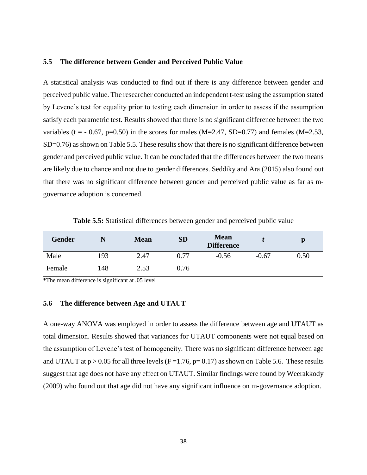#### <span id="page-50-0"></span>**5.5 The difference between Gender and Perceived Public Value**

A statistical analysis was conducted to find out if there is any difference between gender and perceived public value. The researcher conducted an independent t-test using the assumption stated by Levene's test for equality prior to testing each dimension in order to assess if the assumption satisfy each parametric test. Results showed that there is no significant difference between the two variables (t =  $-0.67$ , p=0.50) in the scores for males (M=2.47, SD=0.77) and females (M=2.53, SD=0.76) as shown on Table 5.5. These results show that there is no significant difference between gender and perceived public value. It can be concluded that the differences between the two means are likely due to chance and not due to gender differences. Seddiky and Ara (2015) also found out that there was no significant difference between gender and perceived public value as far as mgovernance adoption is concerned.

**Table 5.5:** Statistical differences between gender and perceived public value

<span id="page-50-2"></span>

| <b>Gender</b> | N   | <b>Mean</b> | <b>SD</b> | <b>Mean</b><br><b>Difference</b> |         | p    |
|---------------|-----|-------------|-----------|----------------------------------|---------|------|
| Male          | 193 | 2.47        | 0.77      | $-0.56$                          | $-0.67$ | 0.50 |
| Female        | !48 | 2.53        | 0.76      |                                  |         |      |

**\***The mean difference is significant at .05 level

#### <span id="page-50-1"></span>**5.6 The difference between Age and UTAUT**

A one-way ANOVA was employed in order to assess the difference between age and UTAUT as total dimension. Results showed that variances for UTAUT components were not equal based on the assumption of Levene's test of homogeneity. There was no significant difference between age and UTAUT at  $p > 0.05$  for all three levels (F = 1.76,  $p= 0.17$ ) as shown on Table 5.6. These results suggest that age does not have any effect on UTAUT. Similar findings were found by Weerakkody (2009) who found out that age did not have any significant influence on m-governance adoption.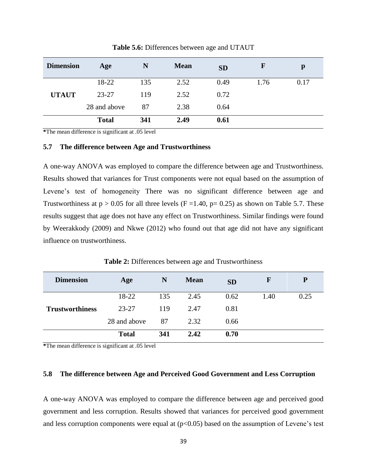<span id="page-51-2"></span>

| <b>Dimension</b> | Age          | N   | <b>Mean</b> | <b>SD</b> | $\mathbf F$ | p    |
|------------------|--------------|-----|-------------|-----------|-------------|------|
|                  | 18-22        | 135 | 2.52        | 0.49      | 1.76        | 0.17 |
| <b>UTAUT</b>     | $23 - 27$    | 119 | 2.52        | 0.72      |             |      |
|                  | 28 and above | 87  | 2.38        | 0.64      |             |      |
|                  | <b>Total</b> | 341 | 2.49        | 0.61      |             |      |

**Table 5.6:** Differences between age and UTAUT

**\***The mean difference is significant at .05 level

#### <span id="page-51-0"></span>**5.7 The difference between Age and Trustworthiness**

A one-way ANOVA was employed to compare the difference between age and Trustworthiness. Results showed that variances for Trust components were not equal based on the assumption of Levene's test of homogeneity There was no significant difference between age and Trustworthiness at  $p > 0.05$  for all three levels (F = 1.40, p= 0.25) as shown on Table 5.7. These results suggest that age does not have any effect on Trustworthiness. Similar findings were found by Weerakkody (2009) and Nkwe (2012) who found out that age did not have any significant influence on trustworthiness.

<span id="page-51-3"></span>

| <b>Dimension</b>       | Age          | N   | <b>Mean</b> | <b>SD</b> | F    | P    |
|------------------------|--------------|-----|-------------|-----------|------|------|
|                        | 18-22        | 135 | 2.45        | 0.62      | 1.40 | 0.25 |
| <b>Trustworthiness</b> | $23 - 27$    | 119 | 2.47        | 0.81      |      |      |
|                        | 28 and above | 87  | 2.32        | 0.66      |      |      |
|                        | <b>Total</b> | 341 | 2.42        | 0.70      |      |      |

**\***The mean difference is significant at .05 level

#### <span id="page-51-1"></span>**5.8 The difference between Age and Perceived Good Government and Less Corruption**

A one-way ANOVA was employed to compare the difference between age and perceived good government and less corruption. Results showed that variances for perceived good government and less corruption components were equal at  $(p<0.05)$  based on the assumption of Levene's test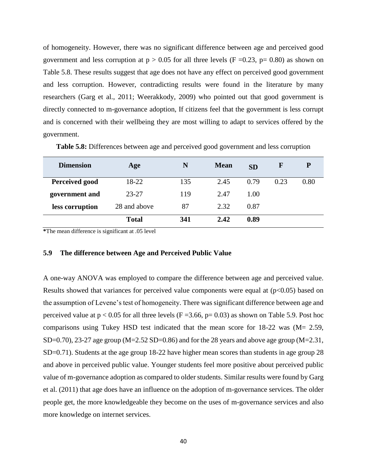of homogeneity. However, there was no significant difference between age and perceived good government and less corruption at  $p > 0.05$  for all three levels (F =0.23, p= 0.80) as shown on Table 5.8. These results suggest that age does not have any effect on perceived good government and less corruption. However, contradicting results were found in the literature by many researchers (Garg et al., 2011; Weerakkody, 2009) who pointed out that good government is directly connected to m-governance adoption, If citizens feel that the government is less corrupt and is concerned with their wellbeing they are most willing to adapt to services offered by the government.

<span id="page-52-1"></span>

| <b>Dimension</b> | Age          | N   | <b>Mean</b> | <b>SD</b> | $\mathbf F$ | ${\bf P}$ |
|------------------|--------------|-----|-------------|-----------|-------------|-----------|
| Perceived good   | 18-22        | 135 | 2.45        | 0.79      | 0.23        | 0.80      |
| government and   | $23 - 27$    | 119 | 2.47        | 1.00      |             |           |
| less corruption  | 28 and above | 87  | 2.32        | 0.87      |             |           |
|                  | <b>Total</b> | 341 | 2.42        | 0.89      |             |           |

**Table 5.8:** Differences between age and perceived good government and less corruption

**\***The mean difference is significant at .05 level

#### <span id="page-52-0"></span>**5.9 The difference between Age and Perceived Public Value**

A one-way ANOVA was employed to compare the difference between age and perceived value. Results showed that variances for perceived value components were equal at  $(p<0.05)$  based on the assumption of Levene's test of homogeneity. There was significant difference between age and perceived value at  $p < 0.05$  for all three levels (F = 3.66, p= 0.03) as shown on Table 5.9. Post hoc comparisons using Tukey HSD test indicated that the mean score for 18-22 was (M= 2.59, SD=0.70), 23-27 age group (M=2.52 SD=0.86) and for the 28 years and above age group (M=2.31, SD=0.71). Students at the age group 18-22 have higher mean scores than students in age group 28 and above in perceived public value. Younger students feel more positive about perceived public value of m-governance adoption as compared to older students. Similar results were found by Garg et al. (2011) that age does have an influence on the adoption of m-governance services. The older people get, the more knowledgeable they become on the uses of m-governance services and also more knowledge on internet services.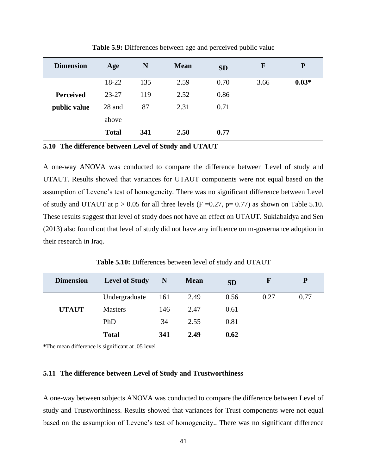<span id="page-53-2"></span>

| <b>Dimension</b> | Age          | N   | <b>Mean</b> | <b>SD</b> | F    | ${\bf P}$ |
|------------------|--------------|-----|-------------|-----------|------|-----------|
|                  | 18-22        | 135 | 2.59        | 0.70      | 3.66 | $0.03*$   |
| <b>Perceived</b> | $23 - 27$    | 119 | 2.52        | 0.86      |      |           |
| public value     | 28 and       | 87  | 2.31        | 0.71      |      |           |
|                  | above        |     |             |           |      |           |
|                  | <b>Total</b> | 341 | 2.50        | 0.77      |      |           |

**Table 5.9:** Differences between age and perceived public value

<span id="page-53-0"></span>**5.10 The difference between Level of Study and UTAUT**

A one-way ANOVA was conducted to compare the difference between Level of study and UTAUT. Results showed that variances for UTAUT components were not equal based on the assumption of Levene's test of homogeneity. There was no significant difference between Level of study and UTAUT at  $p > 0.05$  for all three levels (F = 0.27, p= 0.77) as shown on Table 5.10. These results suggest that level of study does not have an effect on UTAUT. Suklabaidya and Sen (2013) also found out that level of study did not have any influence on m-governance adoption in their research in Iraq.

**Table 5.10:** Differences between level of study and UTAUT

<span id="page-53-3"></span>

| <b>Dimension</b> | <b>Level of Study</b> | N   | <b>Mean</b> | <b>SD</b> | ${\bf F}$ | P    |
|------------------|-----------------------|-----|-------------|-----------|-----------|------|
|                  | Undergraduate         | 161 | 2.49        | 0.56      | 0.27      | 0.77 |
| <b>UTAUT</b>     | <b>Masters</b>        | 146 | 2.47        | 0.61      |           |      |
|                  | PhD                   | 34  | 2.55        | 0.81      |           |      |
|                  | <b>Total</b>          | 341 | 2.49        | 0.62      |           |      |

**\***The mean difference is significant at .05 level

#### <span id="page-53-1"></span>**5.11 The difference between Level of Study and Trustworthiness**

A one-way between subjects ANOVA was conducted to compare the difference between Level of study and Trustworthiness. Results showed that variances for Trust components were not equal based on the assumption of Levene's test of homogeneity.. There was no significant difference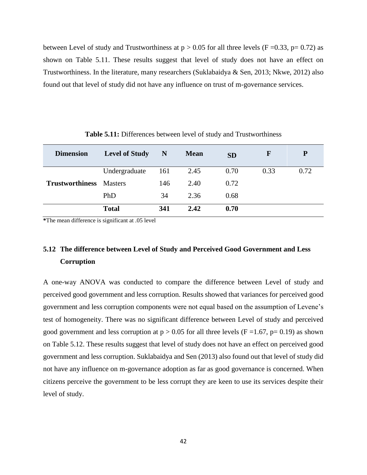between Level of study and Trustworthiness at  $p > 0.05$  for all three levels (F = 0.33, p= 0.72) as shown on Table 5.11. These results suggest that level of study does not have an effect on Trustworthiness. In the literature, many researchers (Suklabaidya & Sen, 2013; Nkwe, 2012) also found out that level of study did not have any influence on trust of m-governance services.

<span id="page-54-1"></span>

| <b>Dimension</b>               | <b>Level of Study</b> | N   | <b>Mean</b> | <b>SD</b> | F    | P    |
|--------------------------------|-----------------------|-----|-------------|-----------|------|------|
|                                | Undergraduate         | 161 | 2.45        | 0.70      | 0.33 | 0.72 |
| <b>Trustworthiness</b> Masters |                       | 146 | 2.40        | 0.72      |      |      |
|                                | PhD                   | 34  | 2.36        | 0.68      |      |      |
|                                | <b>Total</b>          | 341 | 2.42        | 0.70      |      |      |

**Table 5.11:** Differences between level of study and Trustworthiness

**\***The mean difference is significant at .05 level

# <span id="page-54-0"></span>**5.12 The difference between Level of Study and Perceived Good Government and Less Corruption**

A one-way ANOVA was conducted to compare the difference between Level of study and perceived good government and less corruption. Results showed that variances for perceived good government and less corruption components were not equal based on the assumption of Levene's test of homogeneity. There was no significant difference between Level of study and perceived good government and less corruption at  $p > 0.05$  for all three levels (F = 1.67, p= 0.19) as shown on Table 5.12. These results suggest that level of study does not have an effect on perceived good government and less corruption. Suklabaidya and Sen (2013) also found out that level of study did not have any influence on m-governance adoption as far as good governance is concerned. When citizens perceive the government to be less corrupt they are keen to use its services despite their level of study.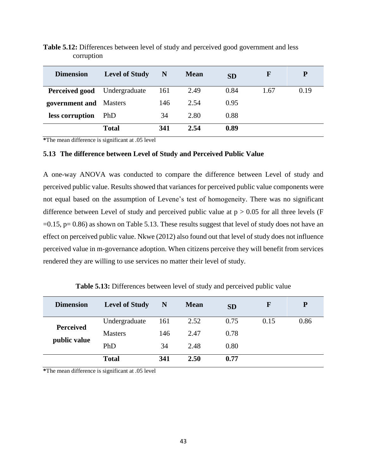| <b>Dimension</b>       | <b>Level of Study</b> | N   | <b>Mean</b> | <b>SD</b> | F    | P    |
|------------------------|-----------------------|-----|-------------|-----------|------|------|
| Perceived good         | Undergraduate         | 161 | 2.49        | 0.84      | 1.67 | 0.19 |
| government and Masters |                       | 146 | 2.54        | 0.95      |      |      |
| less corruption        | PhD.                  | 34  | 2.80        | 0.88      |      |      |
|                        | <b>Total</b>          | 341 | 2.54        | 0.89      |      |      |

<span id="page-55-1"></span>**Table 5.12:** Differences between level of study and perceived good government and less corruption

**\***The mean difference is significant at .05 level

#### <span id="page-55-0"></span>**5.13 The difference between Level of Study and Perceived Public Value**

A one-way ANOVA was conducted to compare the difference between Level of study and perceived public value. Results showed that variances for perceived public value components were not equal based on the assumption of Levene's test of homogeneity. There was no significant difference between Level of study and perceived public value at  $p > 0.05$  for all three levels (F  $=0.15$ ,  $p= 0.86$ ) as shown on Table 5.13. These results suggest that level of study does not have an effect on perceived public value. Nkwe (2012) also found out that level of study does not influence perceived value in m-governance adoption. When citizens perceive they will benefit from services rendered they are willing to use services no matter their level of study.

<span id="page-55-2"></span>**Dimension Level of Study N Mean SD F P Perceived public value** Undergraduate 161 2.52 0.75 0.15 0.86 Masters 146 2.47 0.78 PhD 34 2.48 0.80 **Total 341 2.50 0.77**

**Table 5.13:** Differences between level of study and perceived public value

**\***The mean difference is significant at .05 level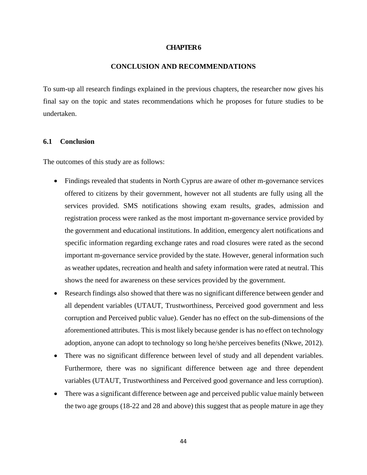#### **CHAPTER 6**

#### **CONCLUSION AND RECOMMENDATIONS**

<span id="page-56-0"></span>To sum-up all research findings explained in the previous chapters, the researcher now gives his final say on the topic and states recommendations which he proposes for future studies to be undertaken.

#### <span id="page-56-1"></span>**6.1 Conclusion**

The outcomes of this study are as follows:

- Findings revealed that students in North Cyprus are aware of other m-governance services offered to citizens by their government, however not all students are fully using all the services provided. SMS notifications showing exam results, grades, admission and registration process were ranked as the most important m-governance service provided by the government and educational institutions. In addition, emergency alert notifications and specific information regarding exchange rates and road closures were rated as the second important m-governance service provided by the state. However, general information such as weather updates, recreation and health and safety information were rated at neutral. This shows the need for awareness on these services provided by the government.
- Research findings also showed that there was no significant difference between gender and all dependent variables (UTAUT, Trustworthiness, Perceived good government and less corruption and Perceived public value). Gender has no effect on the sub-dimensions of the aforementioned attributes. This is most likely because gender is has no effect on technology adoption, anyone can adopt to technology so long he/she perceives benefits (Nkwe, 2012).
- There was no significant difference between level of study and all dependent variables. Furthermore, there was no significant difference between age and three dependent variables (UTAUT, Trustworthiness and Perceived good governance and less corruption).
- There was a significant difference between age and perceived public value mainly between the two age groups (18-22 and 28 and above) this suggest that as people mature in age they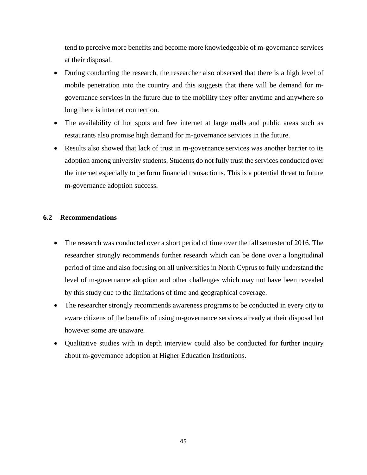tend to perceive more benefits and become more knowledgeable of m-governance services at their disposal.

- During conducting the research, the researcher also observed that there is a high level of mobile penetration into the country and this suggests that there will be demand for mgovernance services in the future due to the mobility they offer anytime and anywhere so long there is internet connection.
- The availability of hot spots and free internet at large malls and public areas such as restaurants also promise high demand for m-governance services in the future.
- Results also showed that lack of trust in m-governance services was another barrier to its adoption among university students. Students do not fully trust the services conducted over the internet especially to perform financial transactions. This is a potential threat to future m-governance adoption success.

#### <span id="page-57-0"></span>**6.2 Recommendations**

- The research was conducted over a short period of time over the fall semester of 2016. The researcher strongly recommends further research which can be done over a longitudinal period of time and also focusing on all universities in North Cyprus to fully understand the level of m-governance adoption and other challenges which may not have been revealed by this study due to the limitations of time and geographical coverage.
- The researcher strongly recommends awareness programs to be conducted in every city to aware citizens of the benefits of using m-governance services already at their disposal but however some are unaware.
- Qualitative studies with in depth interview could also be conducted for further inquiry about m-governance adoption at Higher Education Institutions.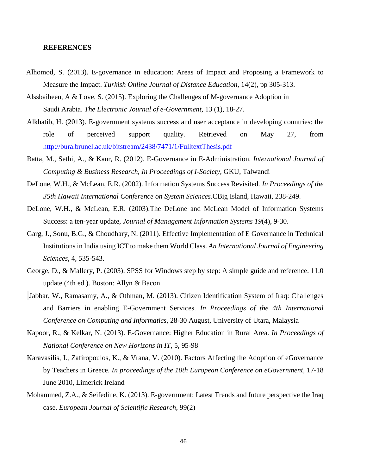#### <span id="page-58-0"></span>**REFERENCES**

- Alhomod, S. (2013). E-governance in education: Areas of Impact and Proposing a Framework to Measure the Impact. *Turkish Online Journal of Distance Education*, 14(2), pp 305-313.
- Alssbaiheen, A & Love, S. (2015). Exploring the Challenges of M-governance Adoption in Saudi Arabia. *The Electronic Journal of e-Government,* 13 (1), 18-27.
- Alkhatib, H. (2013). E-government systems success and user acceptance in developing countries: the role of perceived support quality. Retrieved on May 27, from <http://bura.brunel.ac.uk/bitstream/2438/7471/1/FulltextThesis.pdf>
- Batta, M., Sethi, A., & Kaur, R. (2012). E-Governance in E-Administration. *International Journal of Computing & Business Research, In Proceedings of I-Society,* GKU, Talwandi
- DeLone, W.H., & McLean, E.R. (2002). Information Systems Success Revisited. *In Proceedings of the 35th Hawaii International Conference on System Sciences*.CBig Island, Hawaii, 238-249.
- DeLone, W.H., & McLean, E.R. (2003).The DeLone and McLean Model of Information Systems Success: a ten-year update, *Journal of Management Information Systems 19*(4), 9-30.
- Garg, J., Sonu, B.G., & Choudhary, N. (2011). Effective Implementation of E Governance in Technical Institutions in India using ICT to make them World Class. *An International Journal of Engineering Sciences*, 4, 535-543.
- George, D., & Mallery, P. (2003). SPSS for Windows step by step: A simple guide and reference. 11.0 update (4th ed.). Boston: Allyn & Bacon
- Jabbar, W., Ramasamy, A., & Othman, M. (2013). Citizen Identification System of Iraq: Challenges and Barriers in enabling E-Government Services. *In Proceedings of the 4th International Conference on Computing and Informatics*, 28-30 August, University of Utara, Malaysia
- Kapoor, R., & Kelkar, N. (2013). E-Governance: Higher Education in Rural Area. *In Proceedings of National Conference on New Horizons in IT*, 5, 95-98
- Karavasilis, I., Zafiropoulos, K., & Vrana, V. (2010). Factors Affecting the Adoption of eGovernance by Teachers in Greece. *In proceedings of the 10th European Conference on eGovernment,* 17-18 June 2010, Limerick Ireland
- Mohammed, Z.A., & Seifedine, K. (2013). E-government: Latest Trends and future perspective the Iraq case. *European Journal of Scientific Research*, 99(2)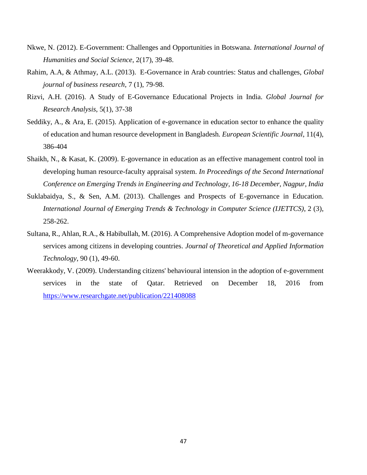- Nkwe, N. (2012). E-Government: Challenges and Opportunities in Botswana. *International Journal of Humanities and Social Science*, 2(17), 39-48.
- Rahim, A.A, & Athmay, A.L. (2013). E-Governance in Arab countries: Status and challenges, *Global journal of business research,* 7 (1), 79-98.
- Rizvi, A.H. (2016). A Study of E-Governance Educational Projects in India. *Global Journal for Research Analysis*, 5(1), 37-38
- Seddiky, A., & Ara, E. (2015). Application of e-governance in education sector to enhance the quality of education and human resource development in Bangladesh*. European Scientific Journal*, 11(4), 386-404
- Shaikh, N., & Kasat, K. (2009). E-governance in education as an effective management control tool in developing human resource-faculty appraisal system. *In Proceedings of the Second International Conference on Emerging Trends in Engineering and Technology, 16-18 December, Nagpur, India*
- Suklabaidya, S., & Sen, A.M. (2013). Challenges and Prospects of E-governance in Education. *International Journal of Emerging Trends & Technology in Computer Science (IJETTCS)*, 2 (3), 258-262.
- Sultana, R., Ahlan, R.A., & Habibullah, M. (2016). A Comprehensive Adoption model of m-governance services among citizens in developing countries. *Journal of Theoretical and Applied Information Technology*, 90 (1), 49-60.
- <span id="page-59-0"></span>Weerakkody, V. (2009). Understanding citizens' behavioural intension in the adoption of e-government services in the state of Qatar. Retrieved on December 18, 2016 from <https://www.researchgate.net/publication/221408088>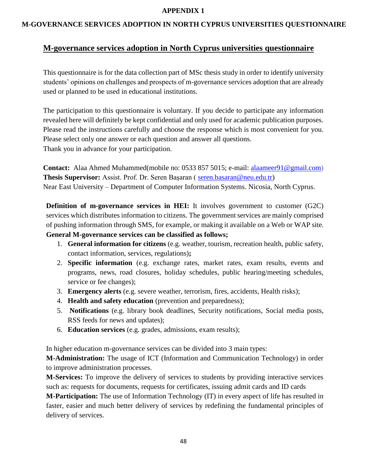#### **APPENDIX 1**

#### **M-GOVERNANCE SERVICES ADOPTION IN NORTH CYPRUS UNIVERSITIES QUESTIONNAIRE**

### **M-governance services adoption in North Cyprus universities questionnaire**

This questionnaire is for the data collection part of MSc thesis study in order to identify university students' opinions on challenges and prospects of m-governance services adoption that are already **used or planned to be used in educational institutions.** 

The participation to this questionnaire is voluntary. If you decide to participate any information revealed here will definitely be kept confidential and only used for academic publication purposes. Please read the instructions carefully and choose the response which is most convenient for you. Please select only one answer or each question and answer all questions. Thank you in advance for your participation.

**Contact:** Alaa Ahmed Muhammed(mobile no: 0533 857 5015; e-mail: [alaameer91@gmail.com\)](mailto:alaameer91@gmail.com) **Thesis Supervisor:** Assist. Prof. Dr. Seren Başaran ( [seren.basaran@neu.edu.tr\)](mailto:seren.basaran@neu.edu.tr) Near East University – Department of Computer Information Systems. Nicosia, North Cyprus.

**Definition of m-governance services in HEI:** It involves government to customer (G2C) services which distributes information to citizens. The government services are mainly comprised of pushing information through SMS, for example, or making it available on a Web or WAP site.

### **General M-governance services can be classified as follows;**

- 1. **General information for citizens** (e.g. weather, tourism, recreation health, public safety, contact information, services, regulations)**;**
- 2. **Specific information** (e.g. exchange rates, market rates, exam results, events and programs, news, road closures, holiday schedules, public hearing/meeting schedules, service or fee changes);
- 3. **Emergency alerts** (e.g. severe weather, terrorism, fires, accidents, Health risks);
- 4. **Health and safety education** (prevention and preparedness);
- 5. **Notifications** (e.g. library book deadlines, Security notifications, Social media posts, RSS feeds for news and updates);
- 6. **Education services** (e.g. grades, admissions, exam results);

In higher education m-governance services can be divided into 3 main types:

**M-Administration:** The usage of ICT (Information and Communication Technology) in order to improve administration processes.

**M-Services:** To improve the delivery of services to students by providing interactive services such as: requests for documents, requests for certificates, issuing admit cards and ID cards

**M-Participation:** The use of Information Technology (IT) in every aspect of life has resulted in faster, easier and much better delivery of services by redefining the fundamental principles of delivery of services.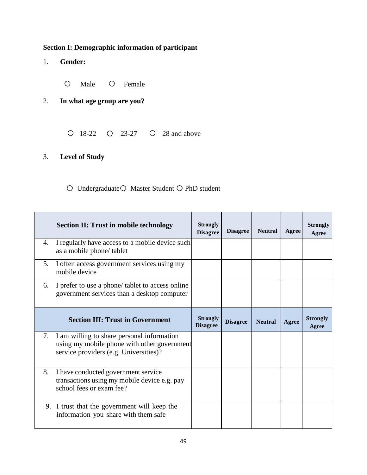# **Section I: Demographic information of participant**

- 1. **Gender:**
	- $\circ$ Male O Female

# 2. **In what age group are you?**

 $\bigcirc$  18-22  $\bigcirc$  23-27  $\bigcirc$  28 and above

# 3. **Level of Study**

## $\bigcirc$  Undergraduate  $\bigcirc$  Master Student  $\bigcirc$  PhD student

|    | <b>Section II: Trust in mobile technology</b>                                                                                          | <b>Strongly</b><br><b>Disagree</b> | <b>Disagree</b> | <b>Neutral</b> | Agree | <b>Strongly</b><br>Agree |
|----|----------------------------------------------------------------------------------------------------------------------------------------|------------------------------------|-----------------|----------------|-------|--------------------------|
| 4. | I regularly have access to a mobile device such<br>as a mobile phone/tablet                                                            |                                    |                 |                |       |                          |
| 5. | I often access government services using my<br>mobile device                                                                           |                                    |                 |                |       |                          |
| 6. | I prefer to use a phone/ tablet to access online<br>government services than a desktop computer                                        |                                    |                 |                |       |                          |
|    | <b>Section III: Trust in Government</b>                                                                                                | <b>Strongly</b><br><b>Disagree</b> | <b>Disagree</b> | <b>Neutral</b> | Agree | <b>Strongly</b><br>Agree |
|    | 7. I am willing to share personal information<br>using my mobile phone with other government<br>service providers (e.g. Universities)? |                                    |                 |                |       |                          |
| 8. | I have conducted government service<br>transactions using my mobile device e.g. pay<br>school fees or exam fee?                        |                                    |                 |                |       |                          |
|    | 9. I trust that the government will keep the<br>information you share with them safe                                                   |                                    |                 |                |       |                          |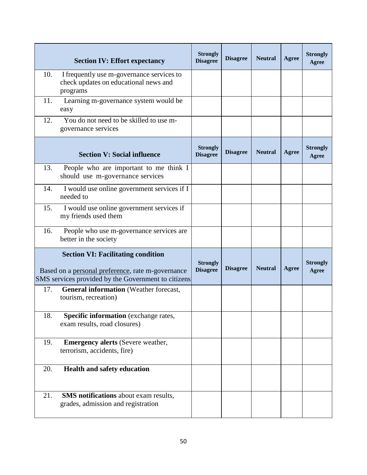|     | <b>Section IV: Effort expectancy</b>                                                                                                                  | <b>Strongly</b><br><b>Disagree</b> | <b>Disagree</b> | <b>Neutral</b> | Agree | <b>Strongly</b><br>Agree |
|-----|-------------------------------------------------------------------------------------------------------------------------------------------------------|------------------------------------|-----------------|----------------|-------|--------------------------|
| 10. | I frequently use m-governance services to<br>check updates on educational news and<br>programs                                                        |                                    |                 |                |       |                          |
| 11. | Learning m-governance system would be<br>easy                                                                                                         |                                    |                 |                |       |                          |
| 12. | You do not need to be skilled to use m-<br>governance services                                                                                        |                                    |                 |                |       |                          |
|     | <b>Section V: Social influence</b>                                                                                                                    | <b>Strongly</b><br><b>Disagree</b> | <b>Disagree</b> | <b>Neutral</b> | Agree | <b>Strongly</b><br>Agree |
| 13. | People who are important to me think I<br>should use m-governance services                                                                            |                                    |                 |                |       |                          |
| 14. | I would use online government services if I<br>needed to                                                                                              |                                    |                 |                |       |                          |
| 15. | I would use online government services if<br>my friends used them                                                                                     |                                    |                 |                |       |                          |
| 16. | People who use m-governance services are<br>better in the society                                                                                     |                                    |                 |                |       |                          |
|     | <b>Section VI: Facilitating condition</b><br>Based on a personal preference, rate m-governance<br>SMS services provided by the Government to citizens | <b>Strongly</b><br><b>Disagree</b> | <b>Disagree</b> | <b>Neutral</b> | Agree | <b>Strongly</b><br>Agree |
| 17. | <b>General information</b> (Weather forecast,<br>tourism, recreation)                                                                                 |                                    |                 |                |       |                          |
| 18. | <b>Specific information</b> (exchange rates,<br>exam results, road closures)                                                                          |                                    |                 |                |       |                          |
| 19. | <b>Emergency alerts (Severe weather,</b><br>terrorism, accidents, fire)                                                                               |                                    |                 |                |       |                          |
| 20. | <b>Health and safety education</b>                                                                                                                    |                                    |                 |                |       |                          |
| 21. | <b>SMS</b> notifications about exam results,<br>grades, admission and registration                                                                    |                                    |                 |                |       |                          |